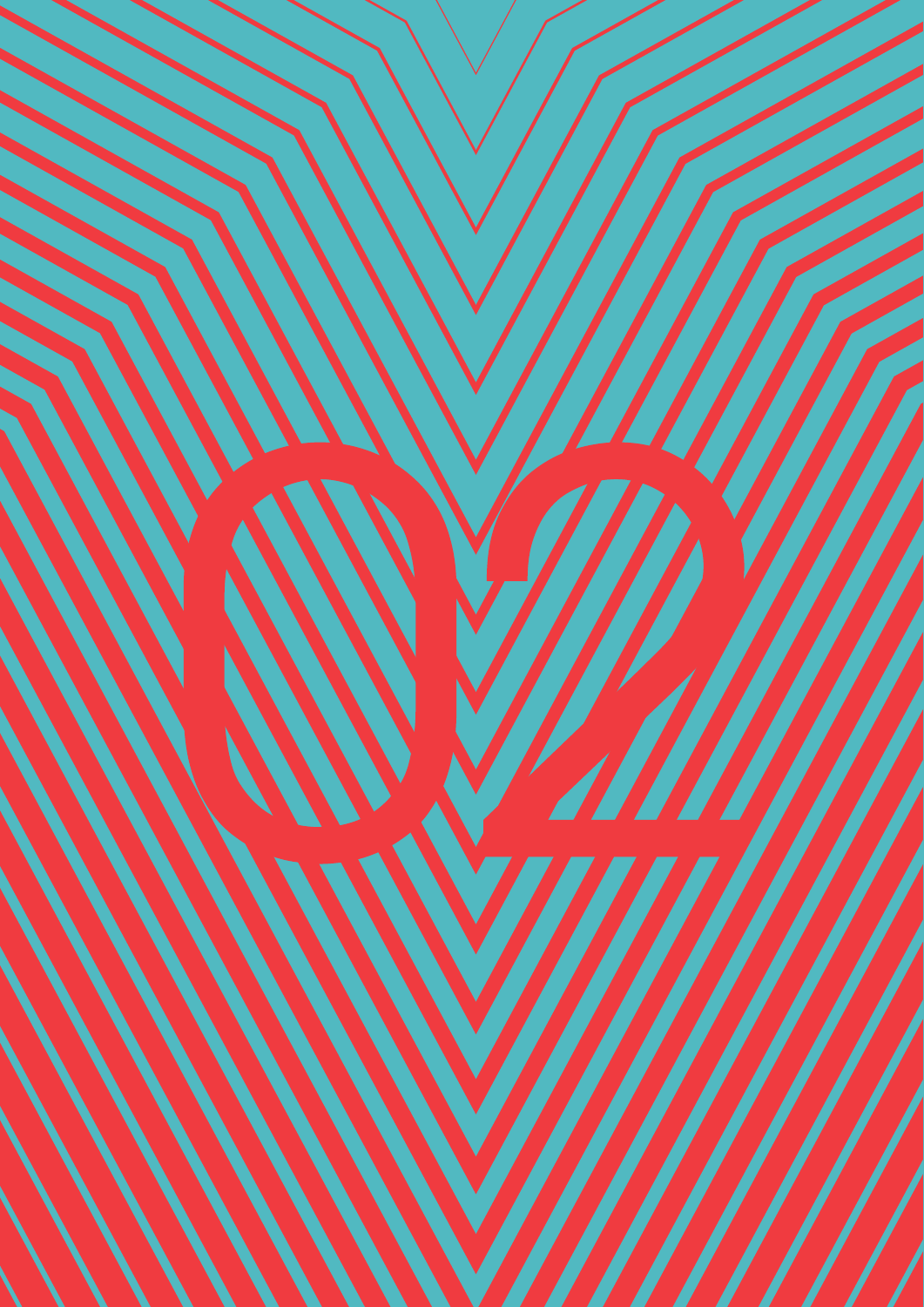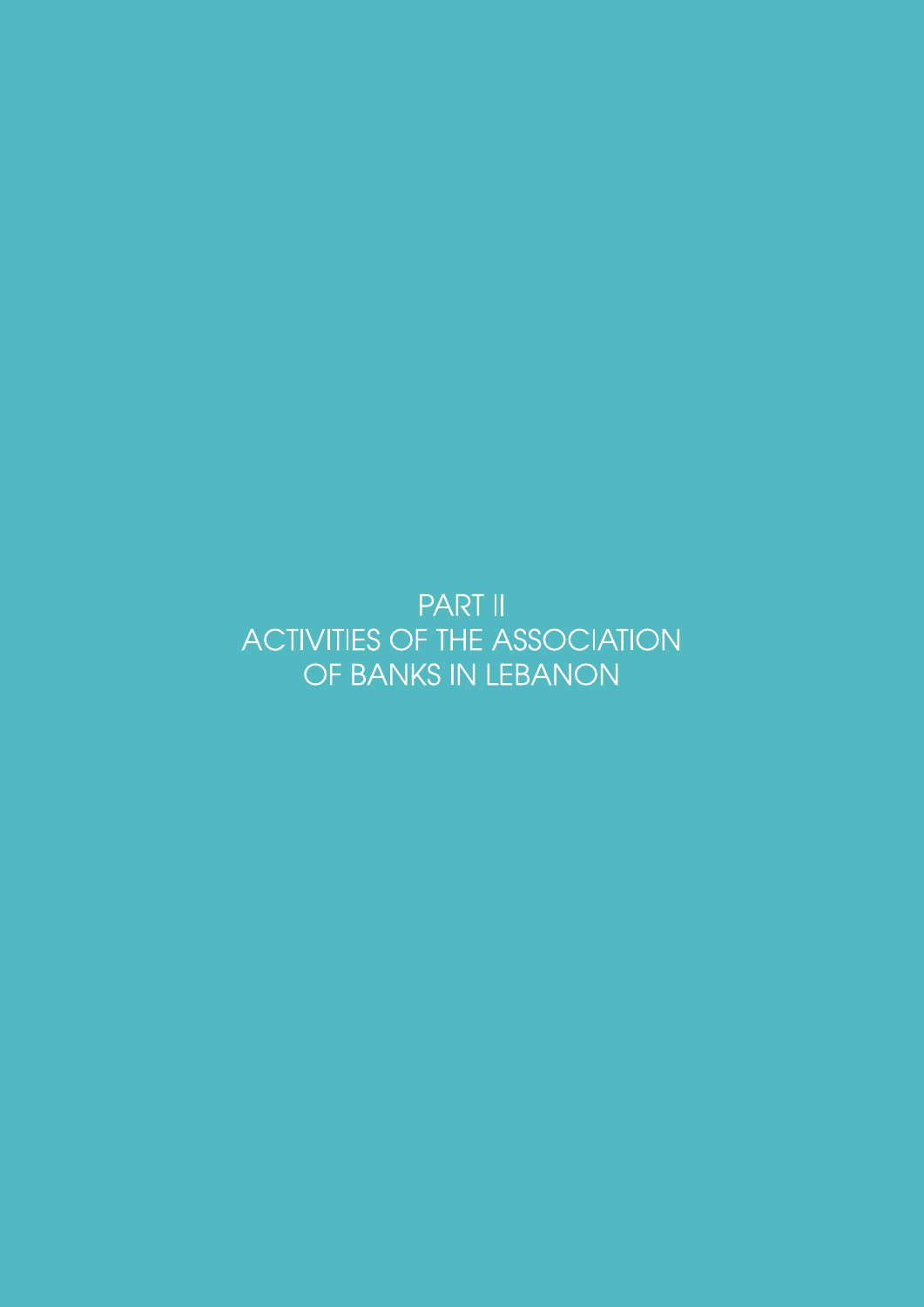**PART II ACTIVITIES OF THE ASSOCIATION** OF BANKS IN LEBANON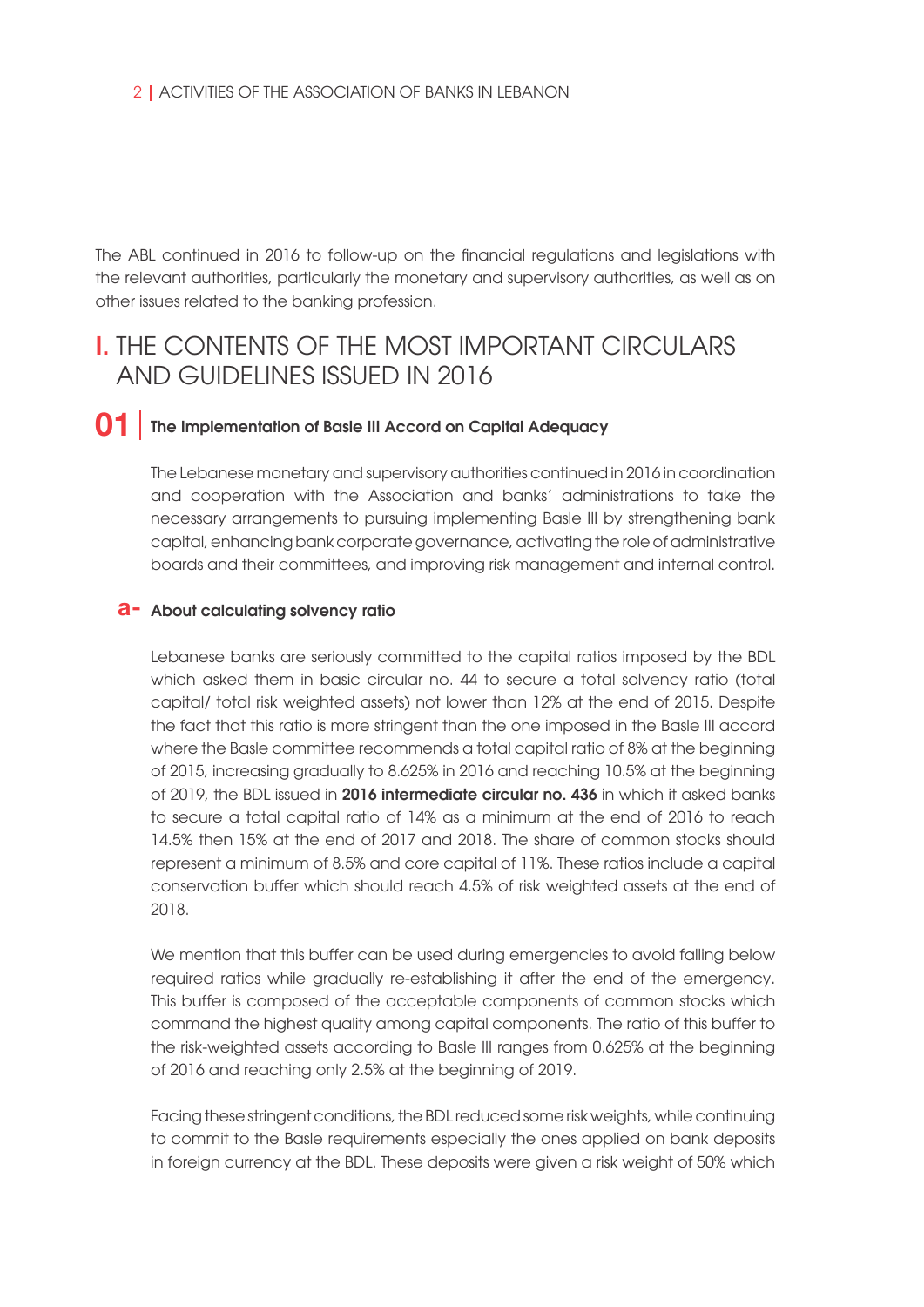The ABL continued in 2016 to follow-up on the financial regulations and legislations with the relevant authorities, particularly the monetary and supervisory authorities, as well as on other issues related to the banking profession.

# **I. THE CONTENTS OF THE MOST IMPORTANT CIRCUI ARS** AND GUIDELINES ISSUED IN 2016

#### The Implementation of Basle III Accord on Capital Adequacy **01**

The Lebanese monetary and supervisory authorities continued in 2016 in coordination and cooperation with the Association and banks' administrations to take the necessary arrangements to pursuing implementing Basle III by strengthening bank capital, enhancing bank corporate governance, activating the role of administrative boards and their committees, and improving risk management and internal control.

## **a**- About calculating solvency ratio

Lebanese banks are seriously committed to the capital ratios imposed by the BDL which asked them in basic circular no. 44 to secure a total solvency ratio (total capital/ total risk weighted assets) not lower than 12% at the end of 2015. Despite the fact that this ratio is more stringent than the one imposed in the Basle III accord where the Basle committee recommends a total capital ratio of 8% at the beginning of 2015, increasing gradually to 8.625% in 2016 and reaching 10.5% at the beginning of 2019, the BDL issued in 2016 intermediate circular no. 436 in which it asked banks to secure a total capital ratio of 14% as a minimum at the end of 2016 to reach 14.5% then 15% at the end of 2017 and 2018. The share of common stocks should represent a minimum of 8.5% and core capital of 11%. These ratios include a capital conservation buffer which should reach 4.5% of risk weighted assets at the end of 2018.

We mention that this buffer can be used during emergencies to avoid falling below required ratios while gradually re-establishing it after the end of the emergency. This buffer is composed of the acceptable components of common stocks which command the highest quality among capital components. The ratio of this buffer to the risk-weighted assets according to Basle III ranges from 0.625% at the beginning of 2016 and reaching only 2.5% at the beginning of 2019.

Facing these stringent conditions, the BDL reduced some risk weights, while continuing to commit to the Basle requirements especially the ones applied on bank deposits in foreign currency at the BDL. These deposits were given a risk weight of 50% which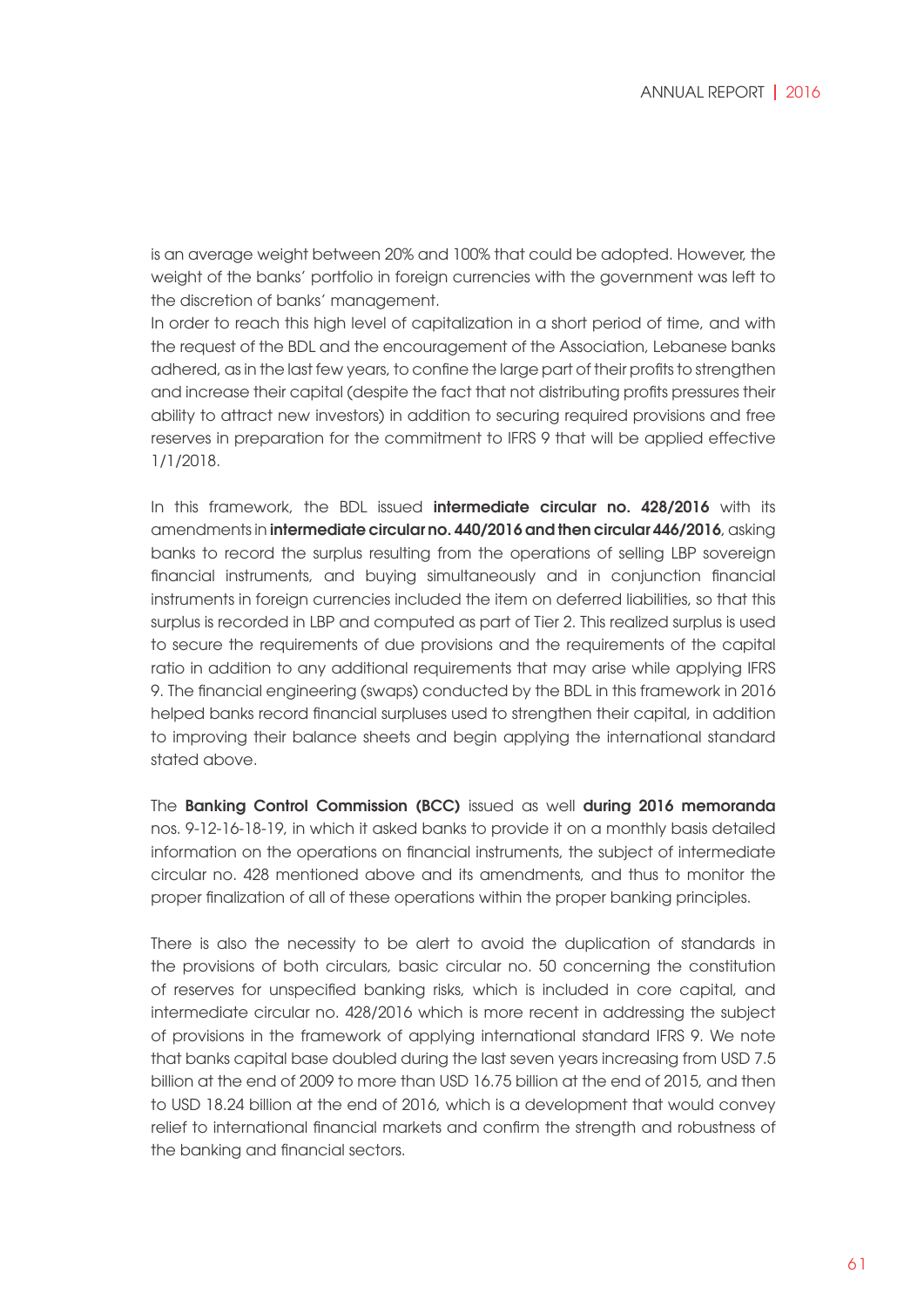is an average weight between 20% and 100% that could be adopted. However, the weight of the banks' portfolio in foreign currencies with the government was left to the discretion of banks' management.

In order to reach this high level of capitalization in a short period of time, and with the request of the BDL and the encouragement of the Association, Lebanese banks adhered, as in the last few years, to confine the large part of their profits to strengthen and increase their capital (despite the fact that not distributing profits pressures their ability to attract new investors) in addition to securing required provisions and free reserves in preparation for the commitment to IFRS 9 that will be applied effective 1/1/2018.

In this framework, the BDL issued **intermediate circular no. 428/2016** with its amendments in intermediate circular no. 440/2016 and then circular 446/2016, asking banks to record the surplus resulting from the operations of selling LBP sovereign financial instruments, and buying simultaneously and in conjunction financial instruments in foreign currencies included the item on deferred liabilities, so that this surplus is recorded in LBP and computed as part of Tier 2. This realized surplus is used to secure the requirements of due provisions and the requirements of the capital ratio in addition to any additional requirements that may arise while applying IFRS 9. The financial engineering (swaps) conducted by the BDL in this framework in 2016 helped banks record financial surpluses used to strengthen their capital, in addition to improving their balance sheets and begin applying the international standard stated above.

The Banking Control Commission (BCC) issued as well during 2016 memoranda nos. 9-12-16-18-19, in which it asked banks to provide it on a monthly basis detailed information on the operations on financial instruments, the subject of intermediate circular no. 428 mentioned above and its amendments, and thus to monitor the proper finalization of all of these operations within the proper banking principles.

There is also the necessity to be alert to avoid the duplication of standards in the provisions of both circulars, basic circular no. 50 concerning the constitution of reserves for unspecified banking risks, which is included in core capital, and intermediate circular no. 428/2016 which is more recent in addressing the subject of provisions in the framework of applying international standard IFRS 9. We note that banks capital base doubled during the last seven years increasing from USD 7.5 billion at the end of 2009 to more than USD 16.75 billion at the end of 2015, and then to USD 18.24 billion at the end of 2016, which is a development that would convey relief to international financial markets and confirm the strength and robustness of the banking and financial sectors.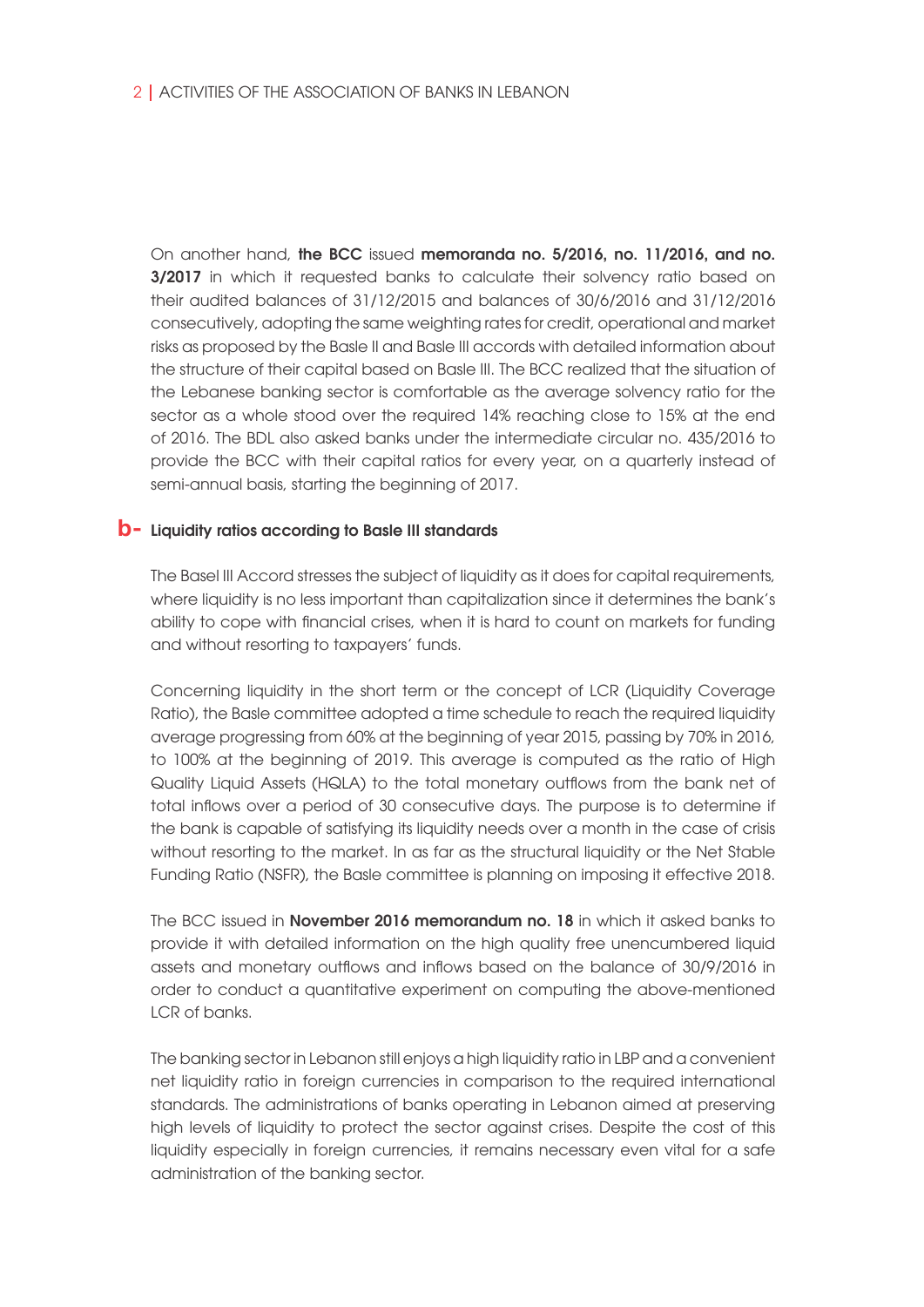On another hand, the BCC issued memoranda no. 5/2016, no. 11/2016, and no. 3/2017 in which it requested banks to calculate their solvency ratio based on their audited balances of 31/12/2015 and balances of 30/6/2016 and 31/12/2016 consecutively, adopting the same weighting rates for credit, operational and market risks as proposed by the Basle II and Basle III accords with detailed information about the structure of their capital based on Basle III. The BCC realized that the situation of the Lebanese banking sector is comfortable as the average solvency ratio for the sector as a whole stood over the required 14% reaching close to 15% at the end of 2016. The BDL also asked banks under the intermediate circular no. 435/2016 to provide the BCC with their capital ratios for every year, on a quarterly instead of semi-annual basis, starting the beginning of 2017.

## **b**- Liquidity ratios according to Basle III standards

The Basel III Accord stresses the subject of liquidity as it does for capital requirements, where liquidity is no less important than capitalization since it determines the bank's ability to cope with financial crises, when it is hard to count on markets for funding and without resorting to taxpayers' funds.

Concerning liquidity in the short term or the concept of LCR (Liquidity Coverage Ratio), the Basle committee adopted a time schedule to reach the required liquidity average progressing from 60% at the beginning of year 2015, passing by 70% in 2016, to 100% at the beginning of 2019. This average is computed as the ratio of High Quality Liquid Assets (HQLA) to the total monetary outflows from the bank net of total inflows over a period of 30 consecutive days. The purpose is to determine if the bank is capable of satisfying its liquidity needs over a month in the case of crisis without resorting to the market. In as far as the structural liquidity or the Net Stable Funding Ratio (NSFR), the Basle committee is planning on imposing it effective 2018.

The BCC issued in **November 2016 memorandum no. 18** in which it asked banks to provide it with detailed information on the high quality free unencumbered liquid assets and monetary outflows and inflows based on the balance of 30/9/2016 in order to conduct a quantitative experiment on computing the above-mentioned LCR of banks.

The banking sector in Lebanon still enjoys a high liquidity ratio in LBP and a convenient net liquidity ratio in foreign currencies in comparison to the required international standards. The administrations of banks operating in Lebanon aimed at preserving high levels of liquidity to protect the sector against crises. Despite the cost of this liquidity especially in foreign currencies, it remains necessary even vital for a safe administration of the banking sector.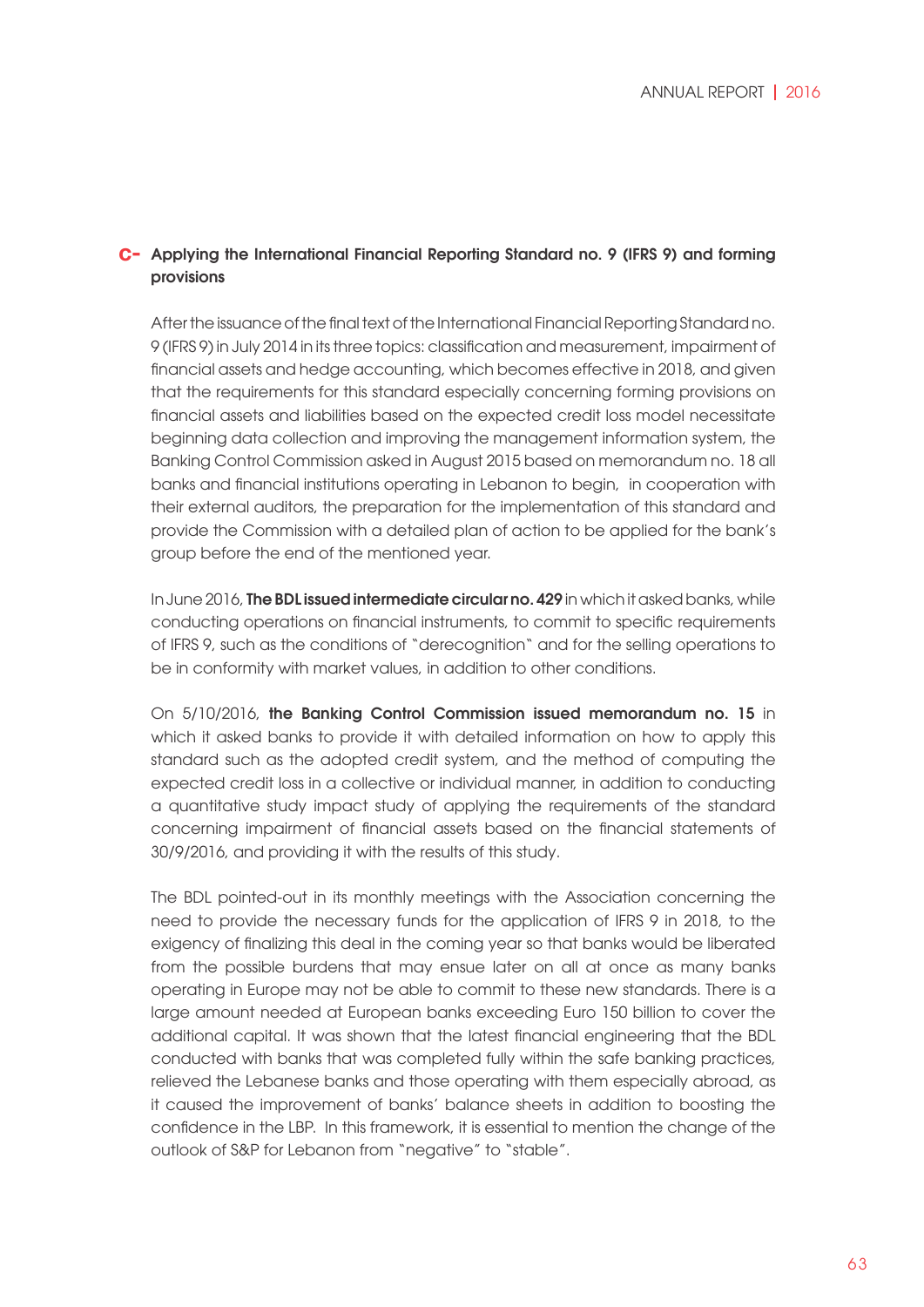### Applying the International Financial Reporting Standard no. 9 (IFRS 9) and forming **c** provisions

After the issuance of the final text of the International Financial Reporting Standard no. 9 (IFRS 9) in July 2014 in its three topics: classification and measurement, impairment of financial assets and hedge accounting, which becomes effective in 2018, and given that the requirements for this standard especially concerning forming provisions on financial assets and liabilities based on the expected credit loss model necessitate beginning data collection and improving the management information system, the Banking Control Commission asked in August 2015 based on memorandum no. 18 all banks and financial institutions operating in Lebanon to begin, in cooperation with their external auditors, the preparation for the implementation of this standard and provide the Commission with a detailed plan of action to be applied for the bank's group before the end of the mentioned year.

In June 2016, The BDL issued intermediate circular no. 429 in which it asked banks, while conducting operations on financial instruments, to commit to specific requirements of IFRS 9, such as the conditions of "derecognition" and for the selling operations to be in conformity with market values, in addition to other conditions.

On 5/10/2016, the Banking Control Commission issued memorandum no. 15 in which it asked banks to provide it with detailed information on how to apply this standard such as the adopted credit system, and the method of computing the expected credit loss in a collective or individual manner, in addition to conducting a quantitative study impact study of applying the requirements of the standard concerning impairment of financial assets based on the financial statements of 30/9/2016, and providing it with the results of this study.

The BDL pointed-out in its monthly meetings with the Association concerning the need to provide the necessary funds for the application of IFRS 9 in 2018, to the exigency of finalizing this deal in the coming year so that banks would be liberated from the possible burdens that may ensue later on all at once as many banks operating in Europe may not be able to commit to these new standards. There is a large amount needed at European banks exceeding Euro 150 billion to cover the additional capital. It was shown that the latest financial engineering that the BDL conducted with banks that was completed fully within the safe banking practices, relieved the Lebanese banks and those operating with them especially abroad, as it caused the improvement of banks' balance sheets in addition to boosting the confidence in the LBP. In this framework, it is essential to mention the change of the outlook of S&P for Lebanon from "negative" to "stable".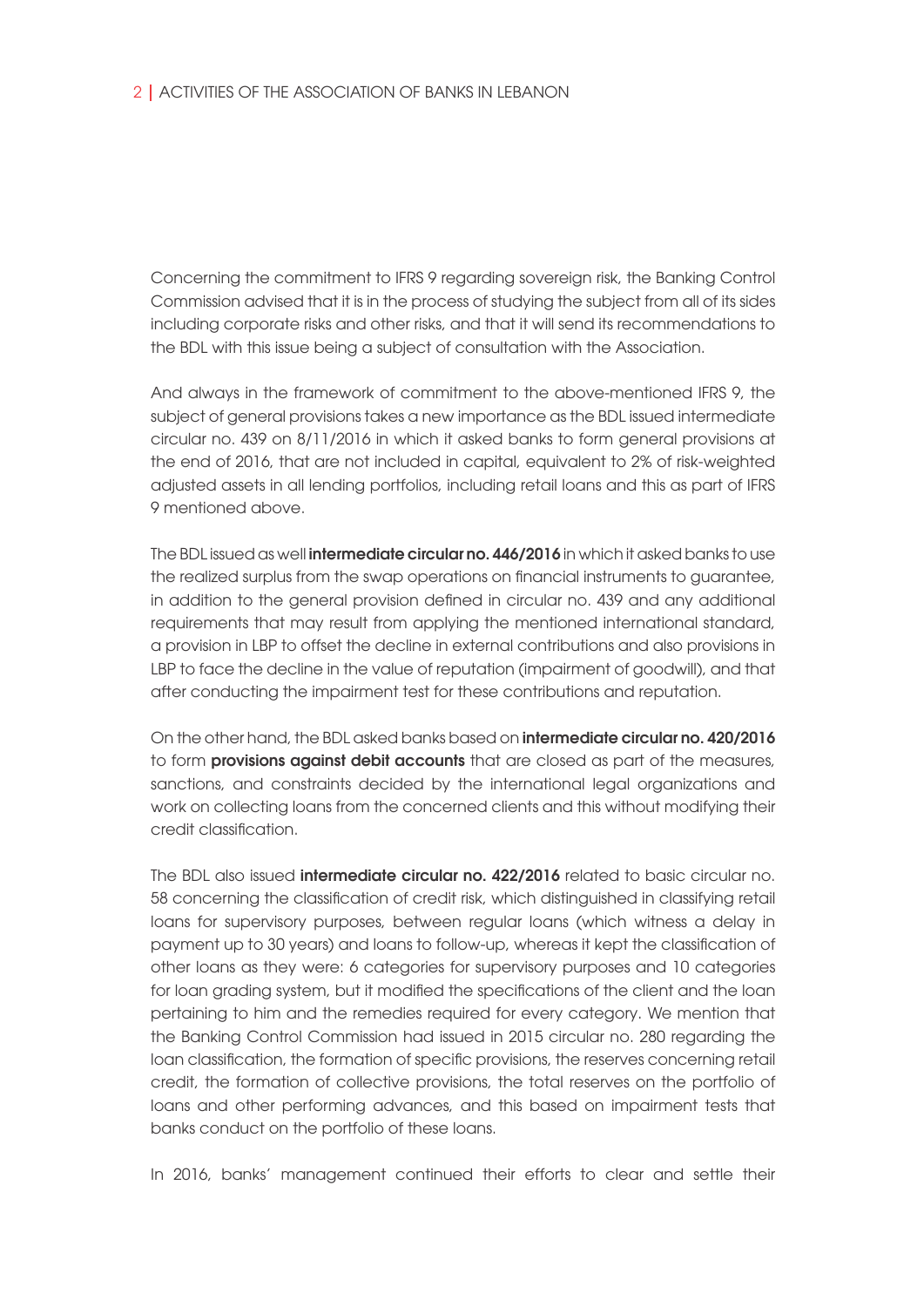Concerning the commitment to IFRS 9 regarding sovereign risk, the Banking Control Commission advised that it is in the process of studying the subject from all of its sides including corporate risks and other risks, and that it will send its recommendations to the BDL with this issue being a subject of consultation with the Association.

And always in the framework of commitment to the above-mentioned IFRS 9, the subject of general provisions takes a new importance as the BDL issued intermediate circular no. 439 on 8/11/2016 in which it asked banks to form general provisions at the end of 2016, that are not included in capital, equivalent to 2% of risk-weighted adjusted assets in all lending portfolios, including retail loans and this as part of IFRS 9 mentioned above.

The BDL issued as well **intermediate circular no. 446/2016** in which it asked banks to use the realized surplus from the swap operations on financial instruments to guarantee, in addition to the general provision defined in circular no. 439 and any additional requirements that may result from applying the mentioned international standard, a provision in LBP to offset the decline in external contributions and also provisions in LBP to face the decline in the value of reputation (impairment of goodwill), and that after conducting the impairment test for these contributions and reputation.

On the other hand, the BDL asked banks based on intermediate circular no. 420/2016 to form **provisions against debit accounts** that are closed as part of the measures, sanctions, and constraints decided by the international legal organizations and work on collecting loans from the concerned clients and this without modifying their credit classification.

The BDL also issued **intermediate circular no. 422/2016** related to basic circular no. 58 concerning the classification of credit risk, which distinguished in classifying retail loans for supervisory purposes, between regular loans (which witness a delay in payment up to 30 years) and loans to follow-up, whereas it kept the classification of other loans as they were: 6 categories for supervisory purposes and 10 categories for loan grading system, but it modified the specifications of the client and the loan pertaining to him and the remedies required for every category. We mention that the Banking Control Commission had issued in 2015 circular no. 280 regarding the loan classification, the formation of specific provisions, the reserves concerning retail credit, the formation of collective provisions, the total reserves on the portfolio of loans and other performing advances, and this based on impairment tests that banks conduct on the portfolio of these loans.

In 2016, banks' management continued their efforts to clear and settle their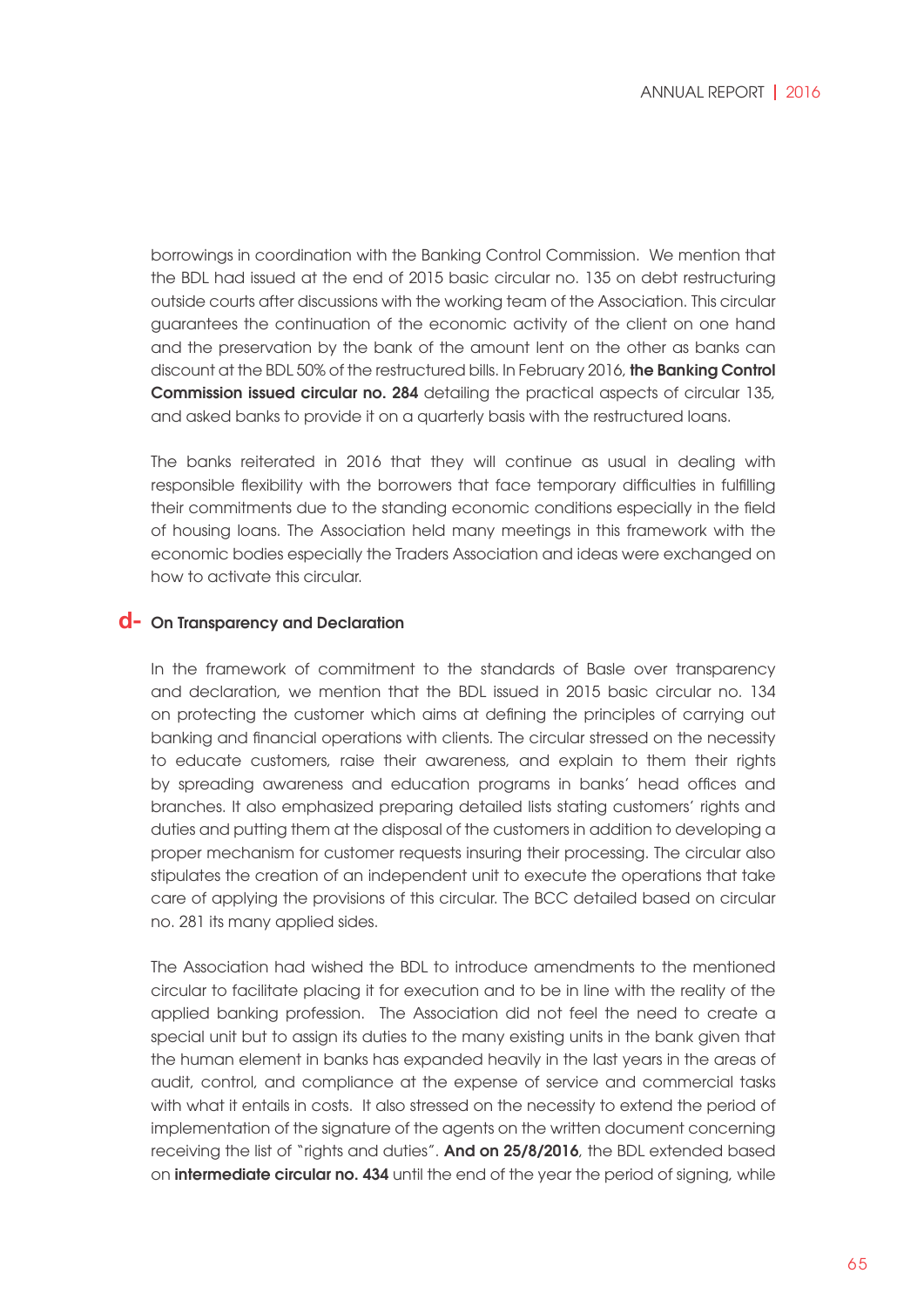borrowings in coordination with the Banking Control Commission. We mention that the BDL had issued at the end of 2015 basic circular no. 135 on debt restructuring outside courts after discussions with the working team of the Association. This circular guarantees the continuation of the economic activity of the client on one hand and the preservation by the bank of the amount lent on the other as banks can discount at the BDL 50% of the restructured bills. In February 2016, the Banking Control Commission issued circular no. 284 detailing the practical aspects of circular 135, and asked banks to provide it on a quarterly basis with the restructured loans.

The banks reiterated in 2016 that they will continue as usual in dealing with responsible flexibility with the borrowers that face temporary difficulties in fulfilling their commitments due to the standing economic conditions especially in the field of housing loans. The Association held many meetings in this framework with the economic bodies especially the Traders Association and ideas were exchanged on how to activate this circular.

## **d**- On Transparency and Declaration

In the framework of commitment to the standards of Basle over transparency and declaration, we mention that the BDL issued in 2015 basic circular no. 134 on protecting the customer which aims at defining the principles of carrying out banking and financial operations with clients. The circular stressed on the necessity to educate customers, raise their awareness, and explain to them their rights by spreading awareness and education programs in banks' head offices and branches. It also emphasized preparing detailed lists stating customers' rights and duties and putting them at the disposal of the customers in addition to developing a proper mechanism for customer requests insuring their processing. The circular also stipulates the creation of an independent unit to execute the operations that take care of applying the provisions of this circular. The BCC detailed based on circular no. 281 its many applied sides.

The Association had wished the BDL to introduce amendments to the mentioned circular to facilitate placing it for execution and to be in line with the reality of the applied banking profession. The Association did not feel the need to create a special unit but to assign its duties to the many existing units in the bank given that the human element in banks has expanded heavily in the last years in the areas of audit, control, and compliance at the expense of service and commercial tasks with what it entails in costs. It also stressed on the necessity to extend the period of implementation of the signature of the agents on the written document concerning receiving the list of "rights and duties". And on 25/8/2016, the BDL extended based on **intermediate circular no. 434** until the end of the year the period of signing, while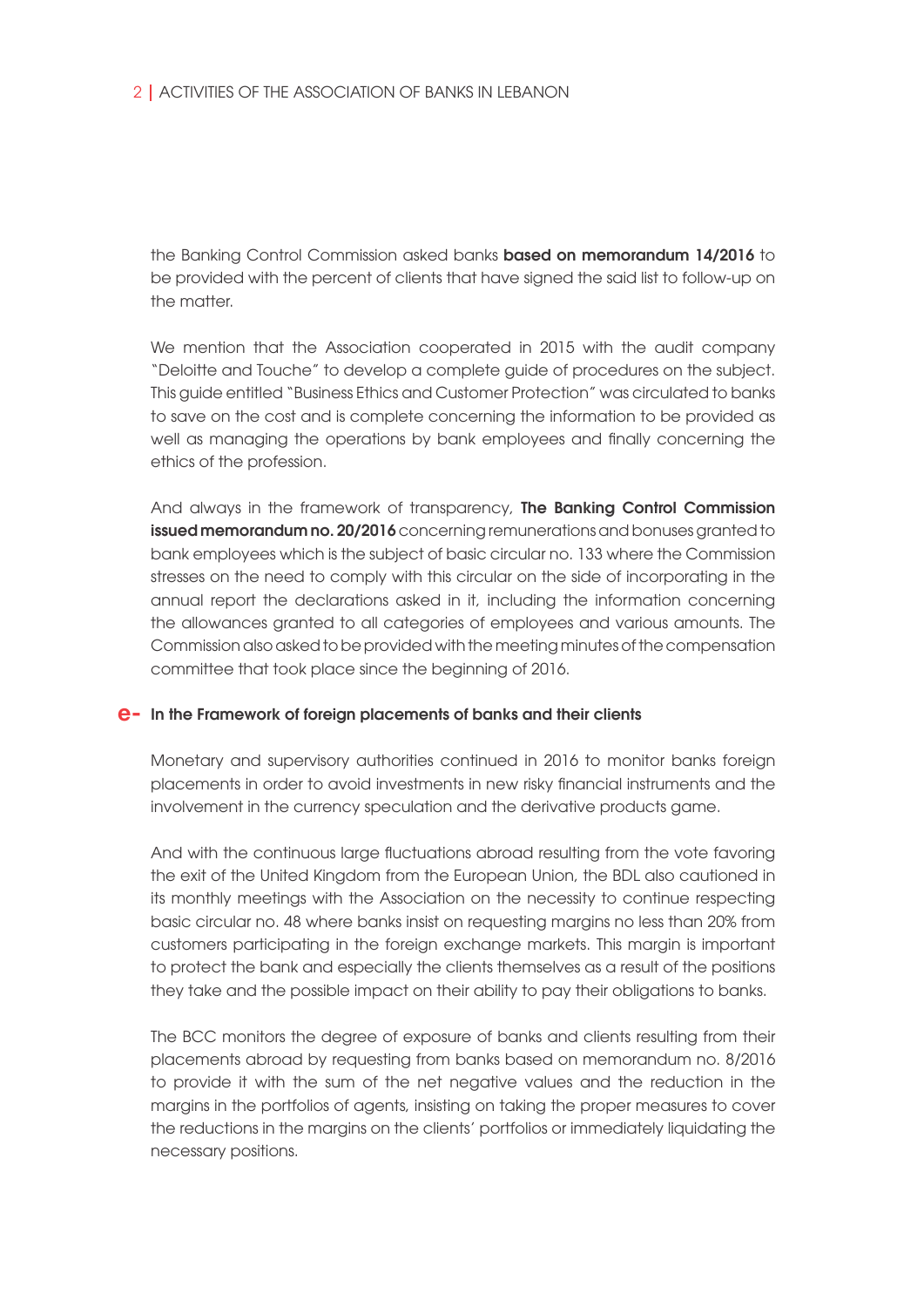the Banking Control Commission asked banks based on memorandum 14/2016 to be provided with the percent of clients that have signed the said list to follow-up on the matter.

We mention that the Association cooperated in 2015 with the audit company "Deloitte and Touche" to develop a complete guide of procedures on the subject. This guide entitled "Business Ethics and Customer Protection" was circulated to banks to save on the cost and is complete concerning the information to be provided as well as managing the operations by bank employees and finally concerning the ethics of the profession.

And always in the framework of transparency, The Banking Control Commission issued memorandum no. 20/2016 concerning remunerations and bonuses granted to bank employees which is the subject of basic circular no. 133 where the Commission stresses on the need to comply with this circular on the side of incorporating in the annual report the declarations asked in it, including the information concerning the allowances granted to all categories of employees and various amounts. The Commission also asked to be provided with the meeting minutes of the compensation committee that took place since the beginning of 2016.

## In the Framework of foreign placements of banks and their clients **e-**

Monetary and supervisory authorities continued in 2016 to monitor banks foreign placements in order to avoid investments in new risky financial instruments and the involvement in the currency speculation and the derivative products game.

And with the continuous large fluctuations abroad resulting from the vote favoring the exit of the United Kingdom from the European Union, the BDL also cautioned in its monthly meetings with the Association on the necessity to continue respecting basic circular no. 48 where banks insist on requesting margins no less than 20% from customers participating in the foreign exchange markets. This margin is important to protect the bank and especially the clients themselves as a result of the positions they take and the possible impact on their ability to pay their obligations to banks.

The BCC monitors the degree of exposure of banks and clients resulting from their placements abroad by requesting from banks based on memorandum no. 8/2016 to provide it with the sum of the net negative values and the reduction in the margins in the portfolios of agents, insisting on taking the proper measures to cover the reductions in the margins on the clients' portfolios or immediately liquidating the necessary positions.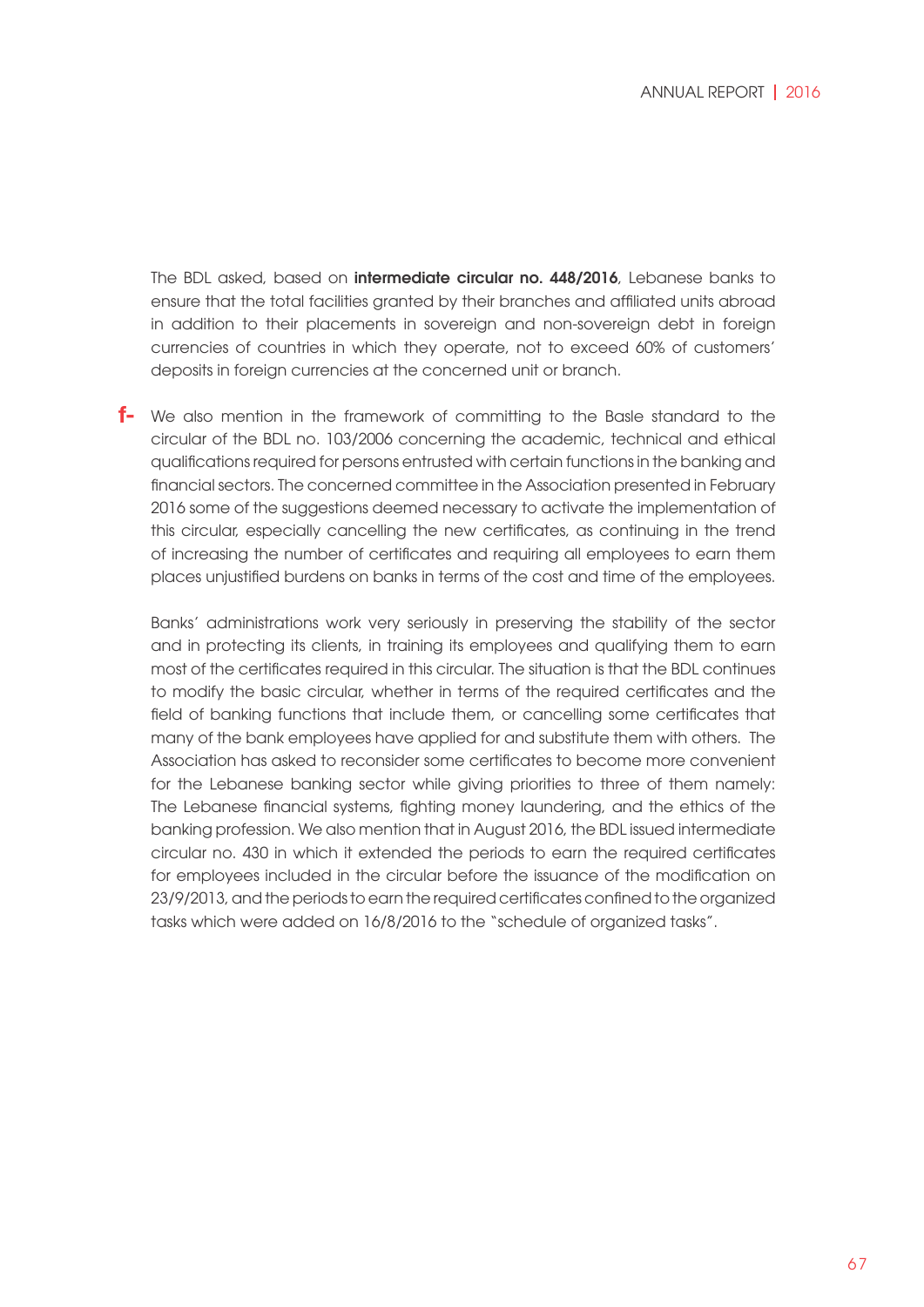The BDL asked, based on intermediate circular no. 448/2016, Lebanese banks to ensure that the total facilities granted by their branches and affiliated units abroad in addition to their placements in sovereign and non-sovereign debt in foreign currencies of countries in which they operate, not to exceed 60% of customers' deposits in foreign currencies at the concerned unit or branch.

We also mention in the framework of committing to the Basle standard to the **f** circular of the BDL no. 103/2006 concerning the academic, technical and ethical qualifications required for persons entrusted with certain functions in the banking and financial sectors. The concerned committee in the Association presented in February 2016 some of the suggestions deemed necessary to activate the implementation of this circular, especially cancelling the new certificates, as continuing in the trend of increasing the number of certificates and requiring all employees to earn them places unjustified burdens on banks in terms of the cost and time of the employees.

Banks' administrations work very seriously in preserving the stability of the sector and in protecting its clients, in training its employees and qualifying them to earn most of the certificates required in this circular. The situation is that the BDL continues to modify the basic circular, whether in terms of the required certificates and the field of banking functions that include them, or cancelling some certificates that many of the bank employees have applied for and substitute them with others. The Association has asked to reconsider some certificates to become more convenient for the Lebanese banking sector while giving priorities to three of them namely: The Lebanese financial systems, fighting money laundering, and the ethics of the banking profession. We also mention that in August 2016, the BDL issued intermediate circular no. 430 in which it extended the periods to earn the required certificates for employees included in the circular before the issuance of the modification on 23/9/2013, and the periods to earn the required certificates confined to the organized tasks which were added on 16/8/2016 to the "schedule of organized tasks".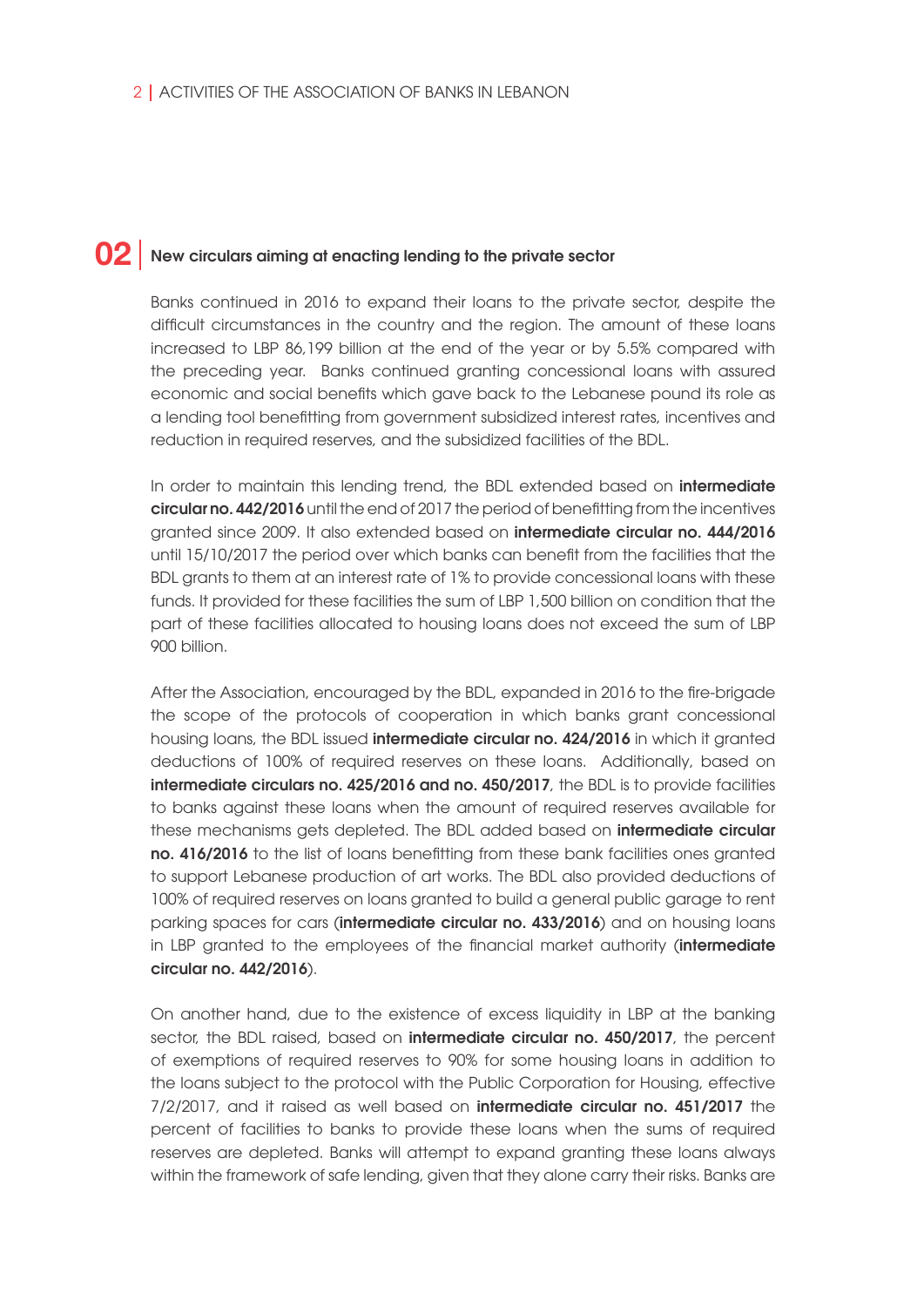# $\textcolor{red}{\mathbf{02}}\mid$  New circulars aiming at enacting lending to the private sector

Banks continued in 2016 to expand their loans to the private sector, despite the difficult circumstances in the country and the region. The amount of these loans increased to LBP 86,199 billion at the end of the year or by 5.5% compared with the preceding year. Banks continued granting concessional loans with assured economic and social benefits which gave back to the Lebanese pound its role as a lending tool benefitting from government subsidized interest rates, incentives and reduction in required reserves, and the subsidized facilities of the BDL.

In order to maintain this lending trend, the BDL extended based on **intermediate** circular no. 442/2016 until the end of 2017 the period of benefitting from the incentives granted since 2009. It also extended based on intermediate circular no. 444/2016 until 15/10/2017 the period over which banks can benefit from the facilities that the BDL grants to them at an interest rate of 1% to provide concessional loans with these funds. It provided for these facilities the sum of LBP 1,500 billion on condition that the part of these facilities allocated to housing loans does not exceed the sum of LBP 900 billion.

After the Association, encouraged by the BDL, expanded in 2016 to the fire-brigade the scope of the protocols of cooperation in which banks grant concessional housing loans, the BDL issued intermediate circular no. 424/2016 in which it granted deductions of 100% of required reserves on these loans. Additionally, based on intermediate circulars no. 425/2016 and no. 450/2017, the BDL is to provide facilities to banks against these loans when the amount of required reserves available for these mechanisms gets depleted. The BDL added based on **intermediate circular** no. 416/2016 to the list of loans benefitting from these bank facilities ones granted to support Lebanese production of art works. The BDL also provided deductions of 100% of required reserves on loans granted to build a general public garage to rent parking spaces for cars (intermediate circular no. 433/2016) and on housing loans in LBP granted to the employees of the financial market authority (**intermediate** circular no. 442/2016).

On another hand, due to the existence of excess liquidity in LBP at the banking sector, the BDL raised, based on intermediate circular no. 450/2017, the percent of exemptions of required reserves to 90% for some housing loans in addition to the loans subject to the protocol with the Public Corporation for Housing, effective 7/2/2017, and it raised as well based on **intermediate circular no. 451/2017** the percent of facilities to banks to provide these loans when the sums of required reserves are depleted. Banks will attempt to expand granting these loans always within the framework of safe lending, given that they alone carry their risks. Banks are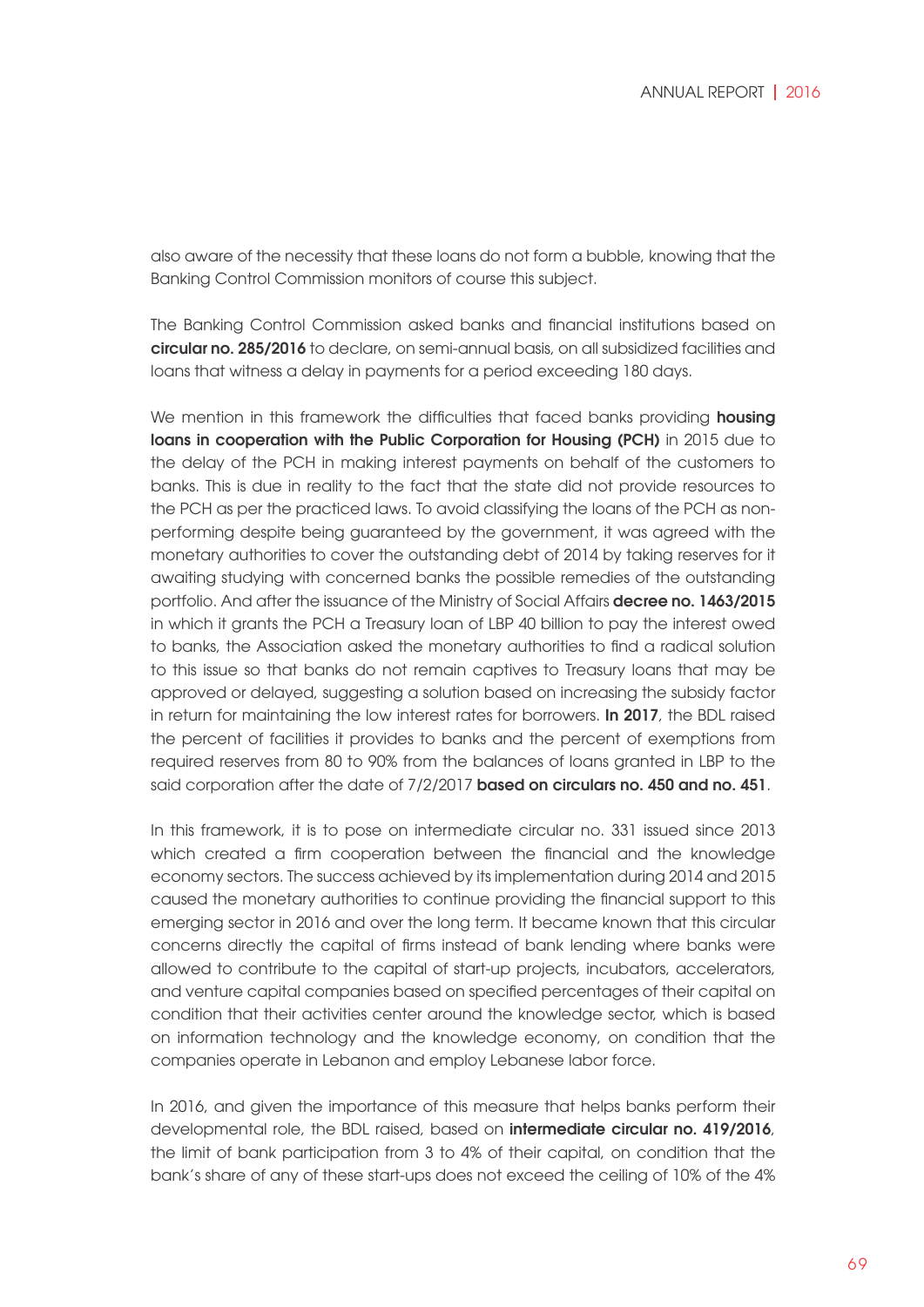also aware of the necessity that these loans do not form a bubble, knowing that the Banking Control Commission monitors of course this subject.

The Banking Control Commission asked banks and financial institutions based on circular no. 285/2016 to declare, on semi-annual basis, on all subsidized facilities and loans that witness a delay in payments for a period exceeding 180 days.

We mention in this framework the difficulties that faced banks providing **housing** loans in cooperation with the Public Corporation for Housing (PCH) in 2015 due to the delay of the PCH in making interest payments on behalf of the customers to banks. This is due in reality to the fact that the state did not provide resources to the PCH as per the practiced laws. To avoid classifying the loans of the PCH as nonperforming despite being guaranteed by the government, it was agreed with the monetary authorities to cover the outstanding debt of 2014 by taking reserves for it awaiting studying with concerned banks the possible remedies of the outstanding portfolio. And after the issuance of the Ministry of Social Affairs **decree no. 1463/2015** in which it grants the PCH a Treasury loan of LBP 40 billion to pay the interest owed to banks, the Association asked the monetary authorities to find a radical solution to this issue so that banks do not remain captives to Treasury loans that may be approved or delayed, suggesting a solution based on increasing the subsidy factor in return for maintaining the low interest rates for borrowers. In 2017, the BDL raised the percent of facilities it provides to banks and the percent of exemptions from required reserves from 80 to 90% from the balances of loans granted in LBP to the said corporation after the date of 7/2/2017 **based on circulars no. 450 and no. 451**.

In this framework, it is to pose on intermediate circular no. 331 issued since 2013 which created a firm cooperation between the financial and the knowledge economy sectors. The success achieved by its implementation during 2014 and 2015 caused the monetary authorities to continue providing the financial support to this emerging sector in 2016 and over the long term. It became known that this circular concerns directly the capital of firms instead of bank lending where banks were allowed to contribute to the capital of start-up projects, incubators, accelerators, and venture capital companies based on specified percentages of their capital on condition that their activities center around the knowledge sector, which is based on information technology and the knowledge economy, on condition that the companies operate in Lebanon and employ Lebanese labor force.

In 2016, and given the importance of this measure that helps banks perform their developmental role, the BDL raised, based on intermediate circular no. 419/2016, the limit of bank participation from 3 to 4% of their capital, on condition that the bank's share of any of these start-ups does not exceed the ceiling of 10% of the 4%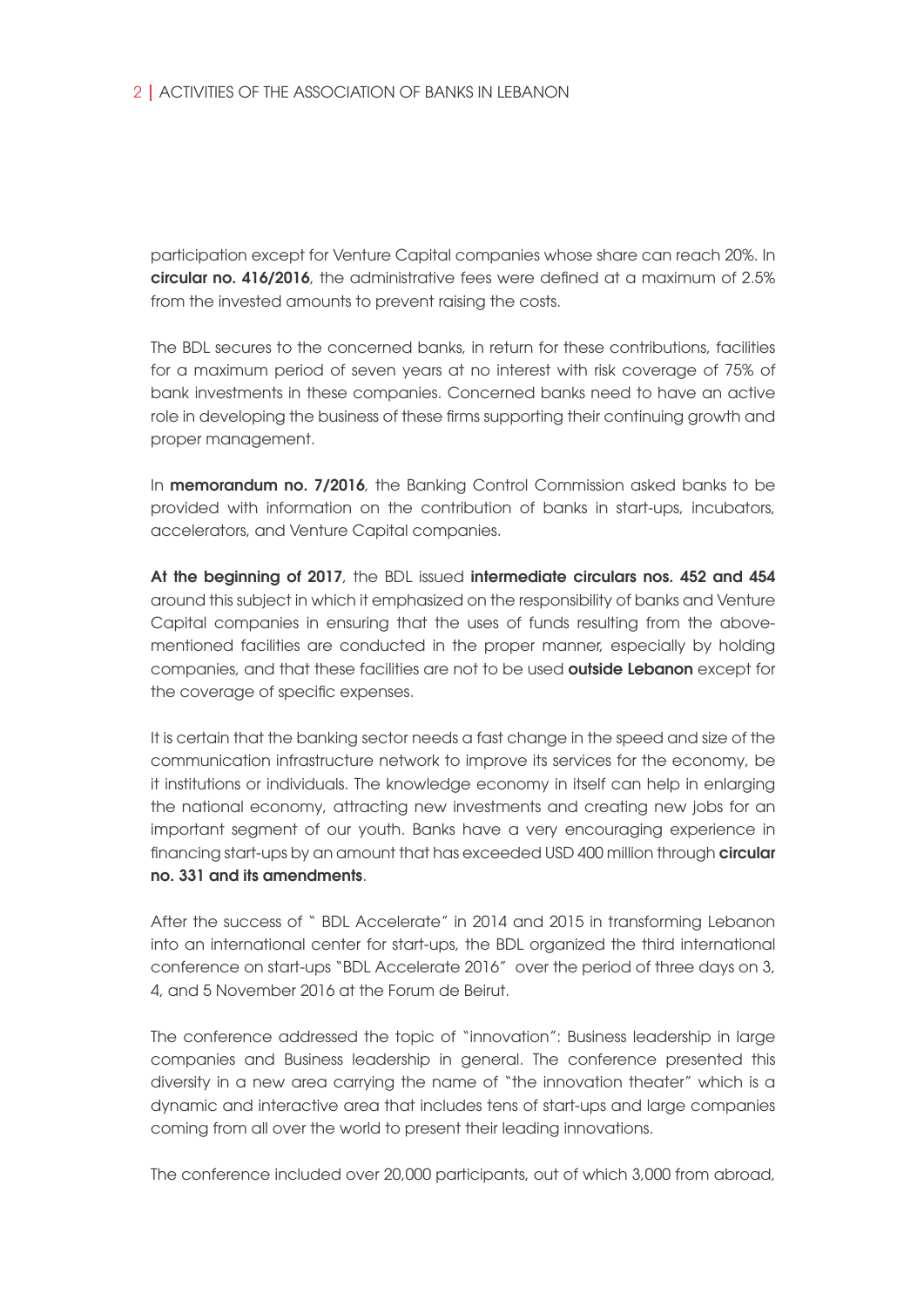participation except for Venture Capital companies whose share can reach 20%. In circular no. 416/2016, the administrative fees were defined at a maximum of 2.5% from the invested amounts to prevent raising the costs.

The BDL secures to the concerned banks, in return for these contributions, facilities for a maximum period of seven years at no interest with risk coverage of 75% of bank investments in these companies. Concerned banks need to have an active role in developing the business of these firms supporting their continuing growth and proper management.

In **memorandum no. 7/2016**, the Banking Control Commission asked banks to be provided with information on the contribution of banks in start-ups, incubators, accelerators, and Venture Capital companies.

At the beginning of 2017, the BDL issued intermediate circulars nos. 452 and 454 around this subject in which it emphasized on the responsibility of banks and Venture Capital companies in ensuring that the uses of funds resulting from the abovementioned facilities are conducted in the proper manner, especially by holding companies, and that these facilities are not to be used outside Lebanon except for the coverage of specific expenses.

It is certain that the banking sector needs a fast change in the speed and size of the communication infrastructure network to improve its services for the economy, be it institutions or individuals. The knowledge economy in itself can help in enlarging the national economy, attracting new investments and creating new jobs for an important segment of our youth. Banks have a very encouraging experience in financing start-ups by an amount that has exceeded USD 400 million through **circular** no. 331 and its amendments.

After the success of " BDL Accelerate" in 2014 and 2015 in transforming Lebanon into an international center for start-ups, the BDL organized the third international conference on start-ups "BDL Accelerate 2016" over the period of three days on 3, 4, and 5 November 2016 at the Forum de Beirut.

The conference addressed the topic of "innovation": Business leadership in large companies and Business leadership in general. The conference presented this diversity in a new area carrying the name of "the innovation theater" which is a dynamic and interactive area that includes tens of start-ups and large companies coming from all over the world to present their leading innovations.

The conference included over 20,000 participants, out of which 3,000 from abroad,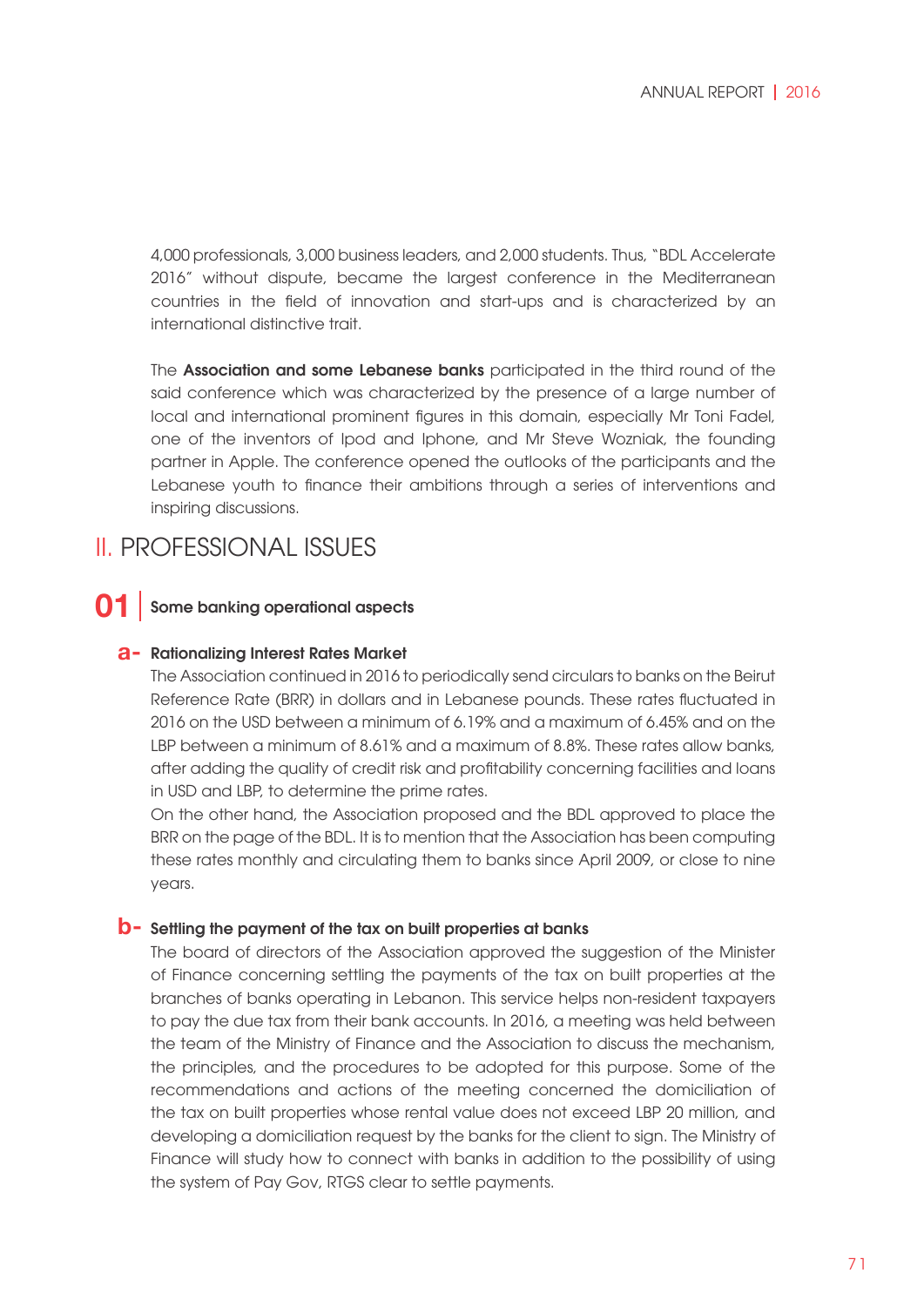4,000 professionals, 3,000 business leaders, and 2,000 students. Thus, "BDL Accelerate 2016" without dispute, became the largest conference in the Mediterranean countries in the field of innovation and start-ups and is characterized by an international distinctive trait.

The **Association and some Lebanese banks** participated in the third round of the said conference which was characterized by the presence of a large number of local and international prominent figures in this domain, especially Mr Toni Fadel, one of the inventors of Ipod and Iphone, and Mr Steve Wozniak, the founding partner in Apple. The conference opened the outlooks of the participants and the Lebanese youth to finance their ambitions through a series of interventions and inspiring discussions.

# II. PROFESSIONAL ISSUES

#### Some banking operational aspects **01**

## **a**- Rationalizing Interest Rates Market

The Association continued in 2016 to periodically send circulars to banks on the Beirut Reference Rate (BRR) in dollars and in Lebanese pounds. These rates fluctuated in 2016 on the USD between a minimum of 6.19% and a maximum of 6.45% and on the LBP between a minimum of 8.61% and a maximum of 8.8%. These rates allow banks, after adding the quality of credit risk and profitability concerning facilities and loans in USD and LBP, to determine the prime rates.

On the other hand, the Association proposed and the BDL approved to place the BRR on the page of the BDL. It is to mention that the Association has been computing these rates monthly and circulating them to banks since April 2009, or close to nine years.

## **b**- Settling the payment of the tax on built properties at banks

The board of directors of the Association approved the suggestion of the Minister of Finance concerning settling the payments of the tax on built properties at the branches of banks operating in Lebanon. This service helps non-resident taxpayers to pay the due tax from their bank accounts. In 2016, a meeting was held between the team of the Ministry of Finance and the Association to discuss the mechanism, the principles, and the procedures to be adopted for this purpose. Some of the recommendations and actions of the meeting concerned the domiciliation of the tax on built properties whose rental value does not exceed LBP 20 million, and developing a domiciliation request by the banks for the client to sign. The Ministry of Finance will study how to connect with banks in addition to the possibility of using the system of Pay Gov, RTGS clear to settle payments.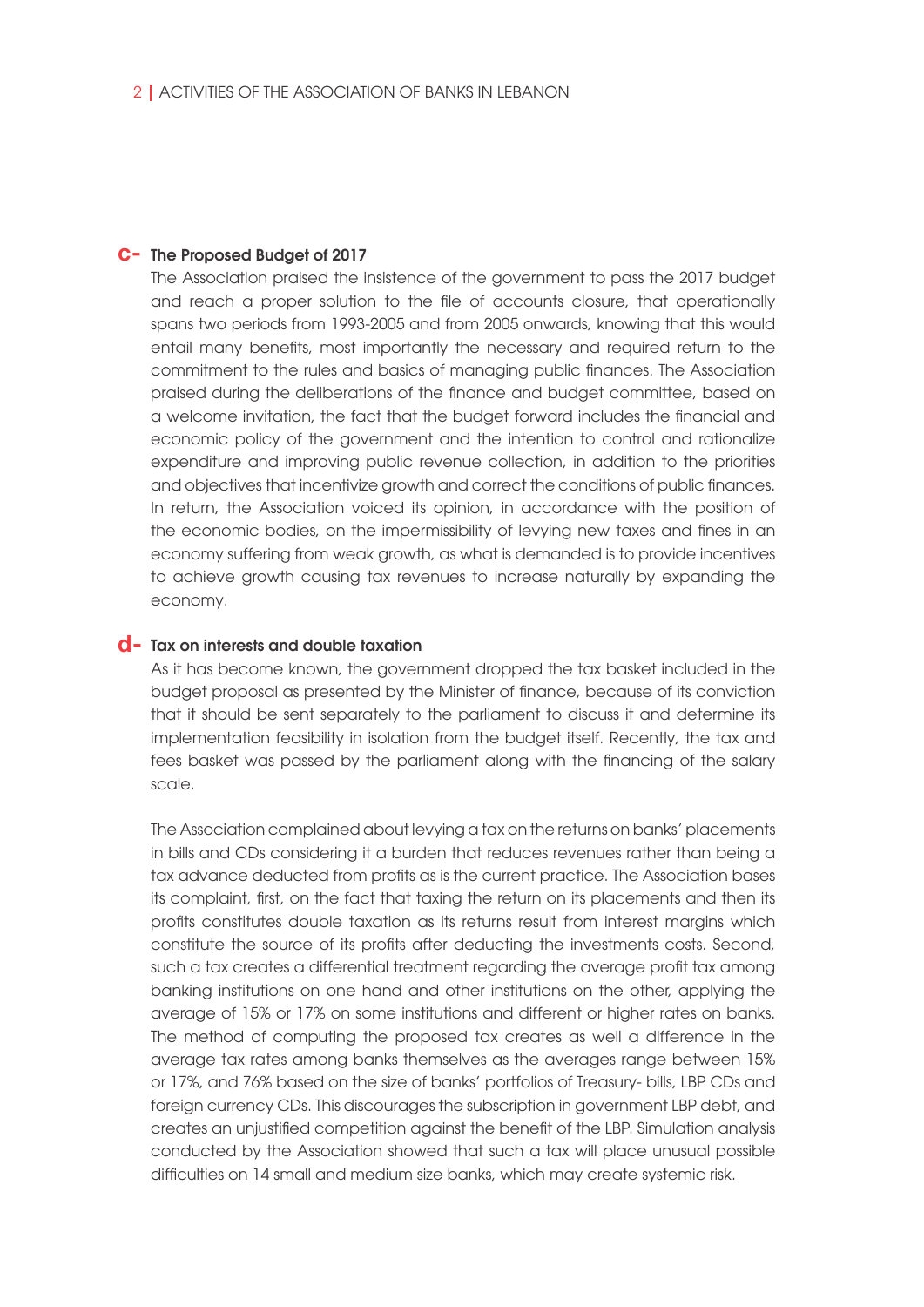## C- The Proposed Budget of 2017

The Association praised the insistence of the government to pass the 2017 budget and reach a proper solution to the file of accounts closure, that operationally spans two periods from 1993-2005 and from 2005 onwards, knowing that this would entail many benefits, most importantly the necessary and required return to the commitment to the rules and basics of managing public finances. The Association praised during the deliberations of the finance and budget committee, based on a welcome invitation, the fact that the budget forward includes the financial and economic policy of the government and the intention to control and rationalize expenditure and improving public revenue collection, in addition to the priorities and objectives that incentivize growth and correct the conditions of public finances. In return, the Association voiced its opinion, in accordance with the position of the economic bodies, on the impermissibility of levying new taxes and fines in an economy suffering from weak growth, as what is demanded is to provide incentives to achieve growth causing tax revenues to increase naturally by expanding the economy.

## Tax on interests and double taxation **d-**

As it has become known, the government dropped the tax basket included in the budget proposal as presented by the Minister of finance, because of its conviction that it should be sent separately to the parliament to discuss it and determine its implementation feasibility in isolation from the budget itself. Recently, the tax and fees basket was passed by the parliament along with the financing of the salary scale.

The Association complained about levying a tax on the returns on banks' placements in bills and CDs considering it a burden that reduces revenues rather than being a tax advance deducted from profits as is the current practice. The Association bases its complaint, first, on the fact that taxing the return on its placements and then its profits constitutes double taxation as its returns result from interest margins which constitute the source of its profits after deducting the investments costs. Second, such a tax creates a differential treatment regarding the average profit tax among banking institutions on one hand and other institutions on the other, applying the average of 15% or 17% on some institutions and different or higher rates on banks. The method of computing the proposed tax creates as well a difference in the average tax rates among banks themselves as the averages range between 15% or 17%, and 76% based on the size of banks' portfolios of Treasury- bills, LBP CDs and foreign currency CDs. This discourages the subscription in government LBP debt, and creates an unjustified competition against the benefit of the LBP. Simulation analysis conducted by the Association showed that such a tax will place unusual possible difficulties on 14 small and medium size banks, which may create systemic risk.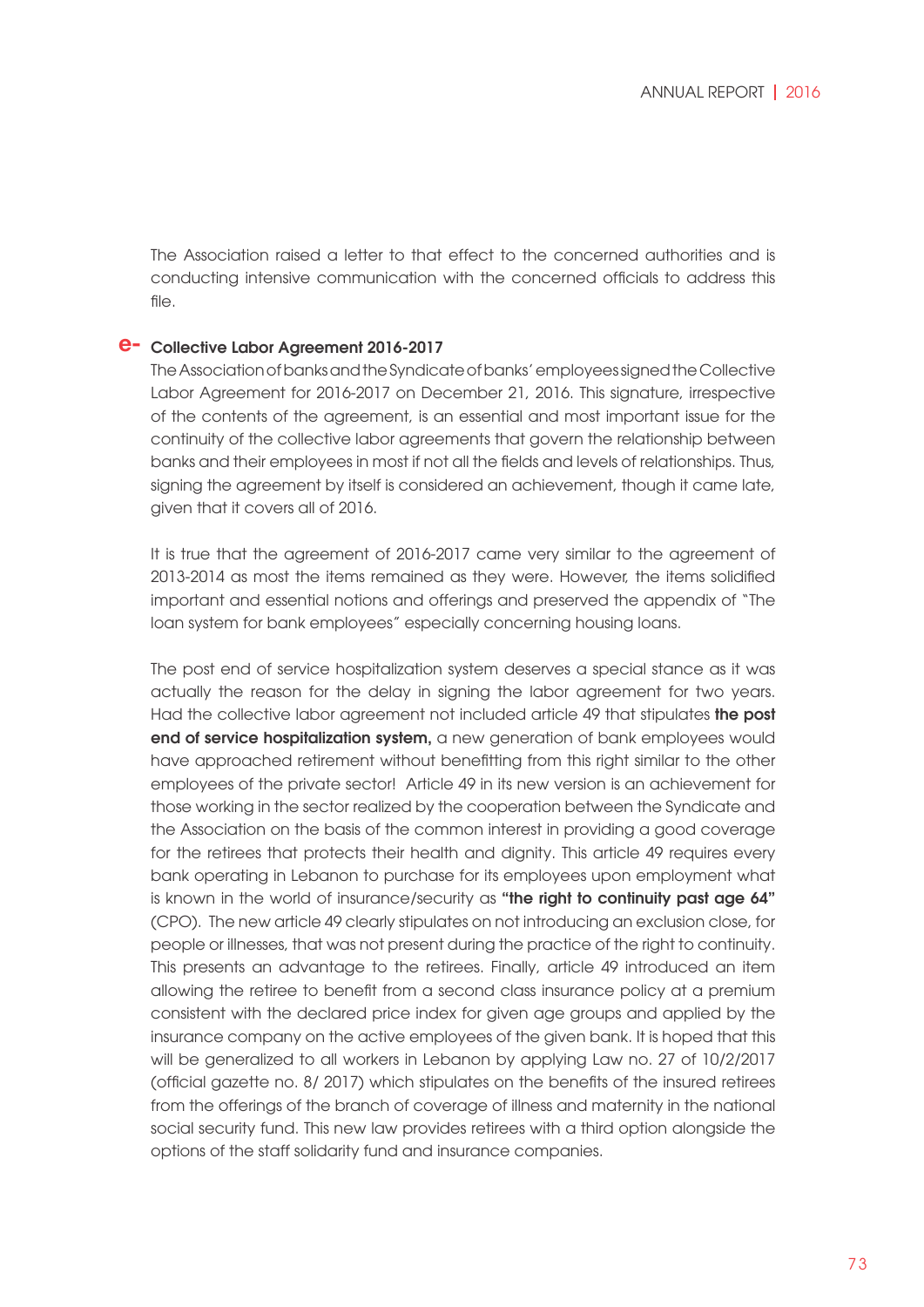The Association raised a letter to that effect to the concerned authorities and is conducting intensive communication with the concerned officials to address this file.

## Collective Labor Agreement 2016-2017 **e-**

The Association of banks and the Syndicate of banks' employees signed the Collective Labor Agreement for 2016-2017 on December 21, 2016. This signature, irrespective of the contents of the agreement, is an essential and most important issue for the continuity of the collective labor agreements that govern the relationship between banks and their employees in most if not all the fields and levels of relationships. Thus, signing the agreement by itself is considered an achievement, though it came late, given that it covers all of 2016.

It is true that the agreement of 2016-2017 came very similar to the agreement of 2013-2014 as most the items remained as they were. However, the items solidified important and essential notions and offerings and preserved the appendix of "The loan system for bank employees" especially concerning housing loans.

The post end of service hospitalization system deserves a special stance as it was actually the reason for the delay in signing the labor agreement for two years. Had the collective labor agreement not included article 49 that stipulates the post end of service hospitalization system, a new generation of bank employees would have approached retirement without benefitting from this right similar to the other employees of the private sector! Article 49 in its new version is an achievement for those working in the sector realized by the cooperation between the Syndicate and the Association on the basis of the common interest in providing a good coverage for the retirees that protects their health and dignity. This article 49 requires every bank operating in Lebanon to purchase for its employees upon employment what is known in the world of insurance/security as "the right to continuity past age 64" (CPO). The new article 49 clearly stipulates on not introducing an exclusion close, for people or illnesses, that was not present during the practice of the right to continuity. This presents an advantage to the retirees. Finally, article 49 introduced an item allowing the retiree to benefit from a second class insurance policy at a premium consistent with the declared price index for given age groups and applied by the insurance company on the active employees of the given bank. It is hoped that this will be generalized to all workers in Lebanon by applying Law no. 27 of 10/2/2017 (official gazette no. 8/ 2017) which stipulates on the benefits of the insured retirees from the offerings of the branch of coverage of illness and maternity in the national social security fund. This new law provides retirees with a third option alongside the options of the staff solidarity fund and insurance companies.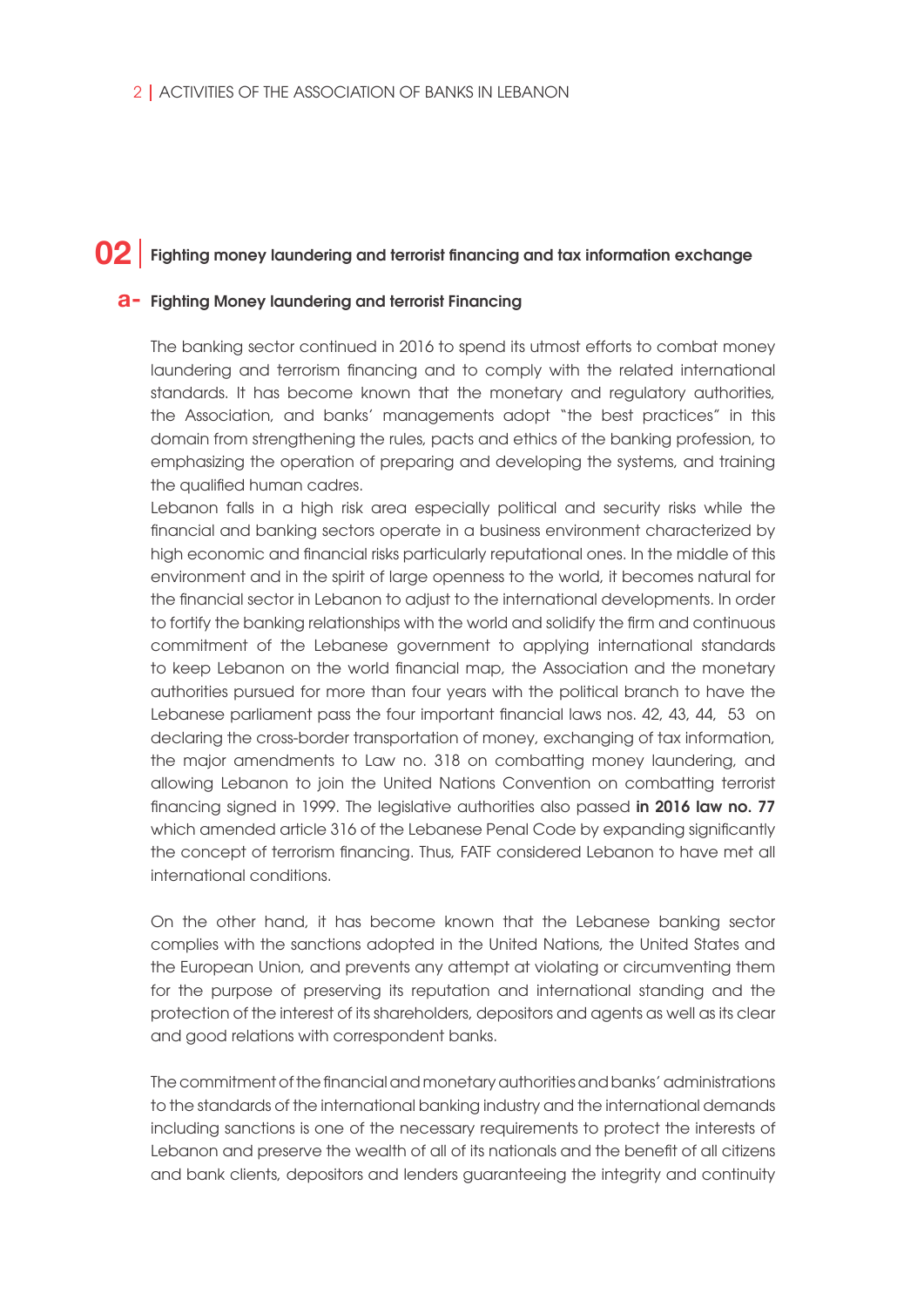#### Fighting money laundering and terrorist financing and tax information exchange **02**

## Fighting Money laundering and terrorist Financing **a-**

The banking sector continued in 2016 to spend its utmost efforts to combat money laundering and terrorism financing and to comply with the related international standards. It has become known that the monetary and regulatory authorities, the Association, and banks' managements adopt "the best practices" in this domain from strengthening the rules, pacts and ethics of the banking profession, to emphasizing the operation of preparing and developing the systems, and training the qualified human cadres.

Lebanon falls in a high risk area especially political and security risks while the financial and banking sectors operate in a business environment characterized by high economic and financial risks particularly reputational ones. In the middle of this environment and in the spirit of large openness to the world, it becomes natural for the financial sector in Lebanon to adjust to the international developments. In order to fortify the banking relationships with the world and solidify the firm and continuous commitment of the Lebanese government to applying international standards to keep Lebanon on the world financial map, the Association and the monetary authorities pursued for more than four years with the political branch to have the Lebanese parliament pass the four important financial laws nos. 42, 43, 44, 53 on declaring the cross-border transportation of money, exchanging of tax information, the major amendments to Law no. 318 on combatting money laundering, and allowing Lebanon to join the United Nations Convention on combatting terrorist financing signed in 1999. The legislative authorities also passed in 2016 law no. 77 which amended article 316 of the Lebanese Penal Code by expanding significantly the concept of terrorism financing. Thus, FATF considered Lebanon to have met all international conditions.

On the other hand, it has become known that the Lebanese banking sector complies with the sanctions adopted in the United Nations, the United States and the European Union, and prevents any attempt at violating or circumventing them for the purpose of preserving its reputation and international standing and the protection of the interest of its shareholders, depositors and agents as well as its clear and good relations with correspondent banks.

The commitment of the financial and monetary authorities and banks' administrations to the standards of the international banking industry and the international demands including sanctions is one of the necessary requirements to protect the interests of Lebanon and preserve the wealth of all of its nationals and the benefit of all citizens and bank clients, depositors and lenders guaranteeing the integrity and continuity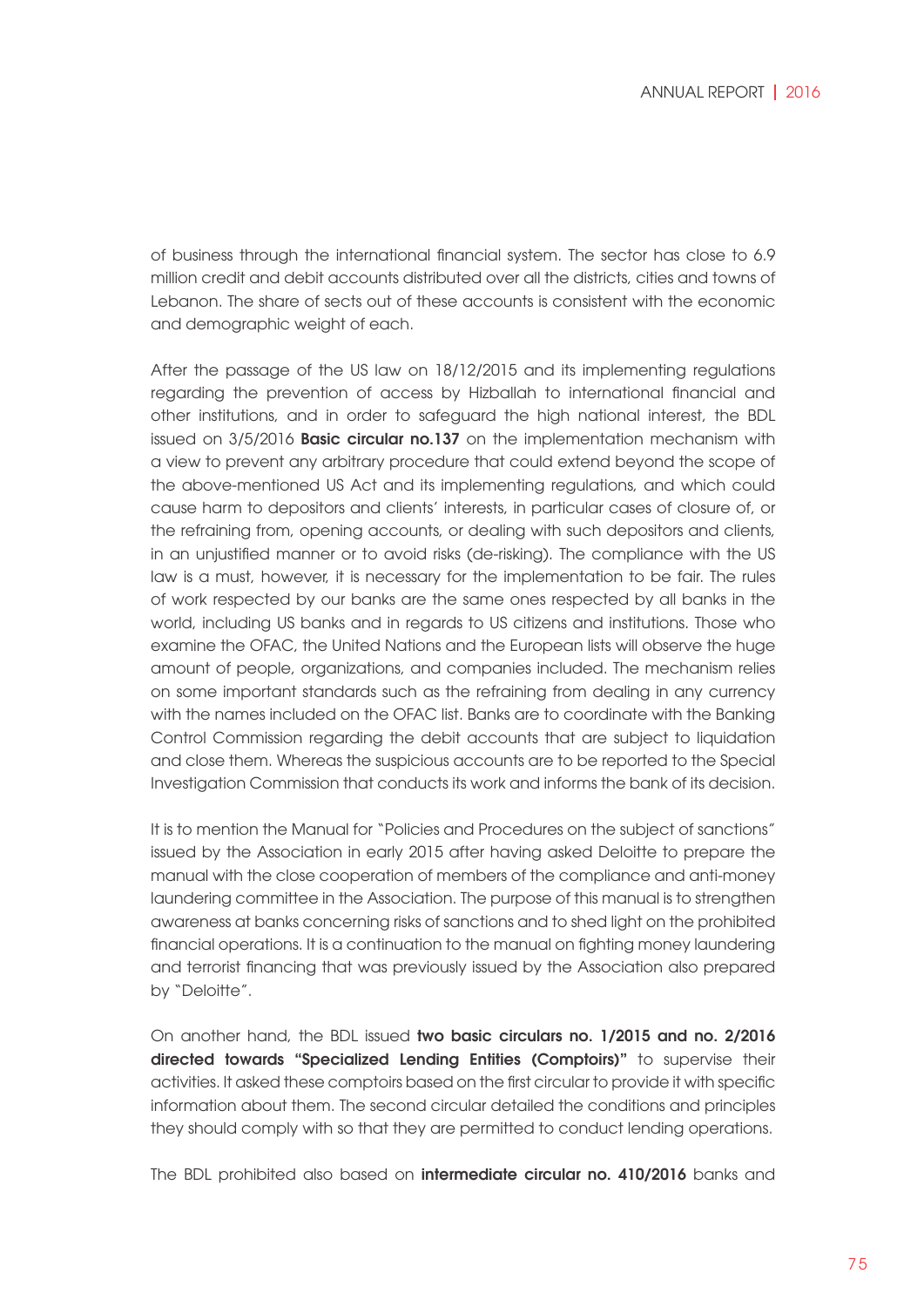of business through the international financial system. The sector has close to 6.9 million credit and debit accounts distributed over all the districts, cities and towns of Lebanon. The share of sects out of these accounts is consistent with the economic and demographic weight of each.

After the passage of the US law on 18/12/2015 and its implementing regulations regarding the prevention of access by Hizballah to international financial and other institutions, and in order to safeguard the high national interest, the BDL issued on 3/5/2016 **Basic circular no.137** on the implementation mechanism with a view to prevent any arbitrary procedure that could extend beyond the scope of the above-mentioned US Act and its implementing regulations, and which could cause harm to depositors and clients' interests, in particular cases of closure of, or the refraining from, opening accounts, or dealing with such depositors and clients, in an unjustified manner or to avoid risks (de-risking). The compliance with the US law is a must, however, it is necessary for the implementation to be fair. The rules of work respected by our banks are the same ones respected by all banks in the world, including US banks and in regards to US citizens and institutions. Those who examine the OFAC, the United Nations and the European lists will observe the huge amount of people, organizations, and companies included. The mechanism relies on some important standards such as the refraining from dealing in any currency with the names included on the OFAC list. Banks are to coordinate with the Banking Control Commission regarding the debit accounts that are subject to liquidation and close them. Whereas the suspicious accounts are to be reported to the Special Investigation Commission that conducts its work and informs the bank of its decision.

It is to mention the Manual for "Policies and Procedures on the subject of sanctions" issued by the Association in early 2015 after having asked Deloitte to prepare the manual with the close cooperation of members of the compliance and anti-money laundering committee in the Association. The purpose of this manual is to strengthen awareness at banks concerning risks of sanctions and to shed light on the prohibited financial operations. It is a continuation to the manual on fighting money laundering and terrorist financing that was previously issued by the Association also prepared by "Deloitte".

On another hand, the BDL issued two basic circulars no. 1/2015 and no. 2/2016 directed towards "Specialized Lending Entities (Comptoirs)" to supervise their activities. It asked these comptoirs based on the first circular to provide it with specific information about them. The second circular detailed the conditions and principles they should comply with so that they are permitted to conduct lending operations.

The BDL prohibited also based on intermediate circular no. 410/2016 banks and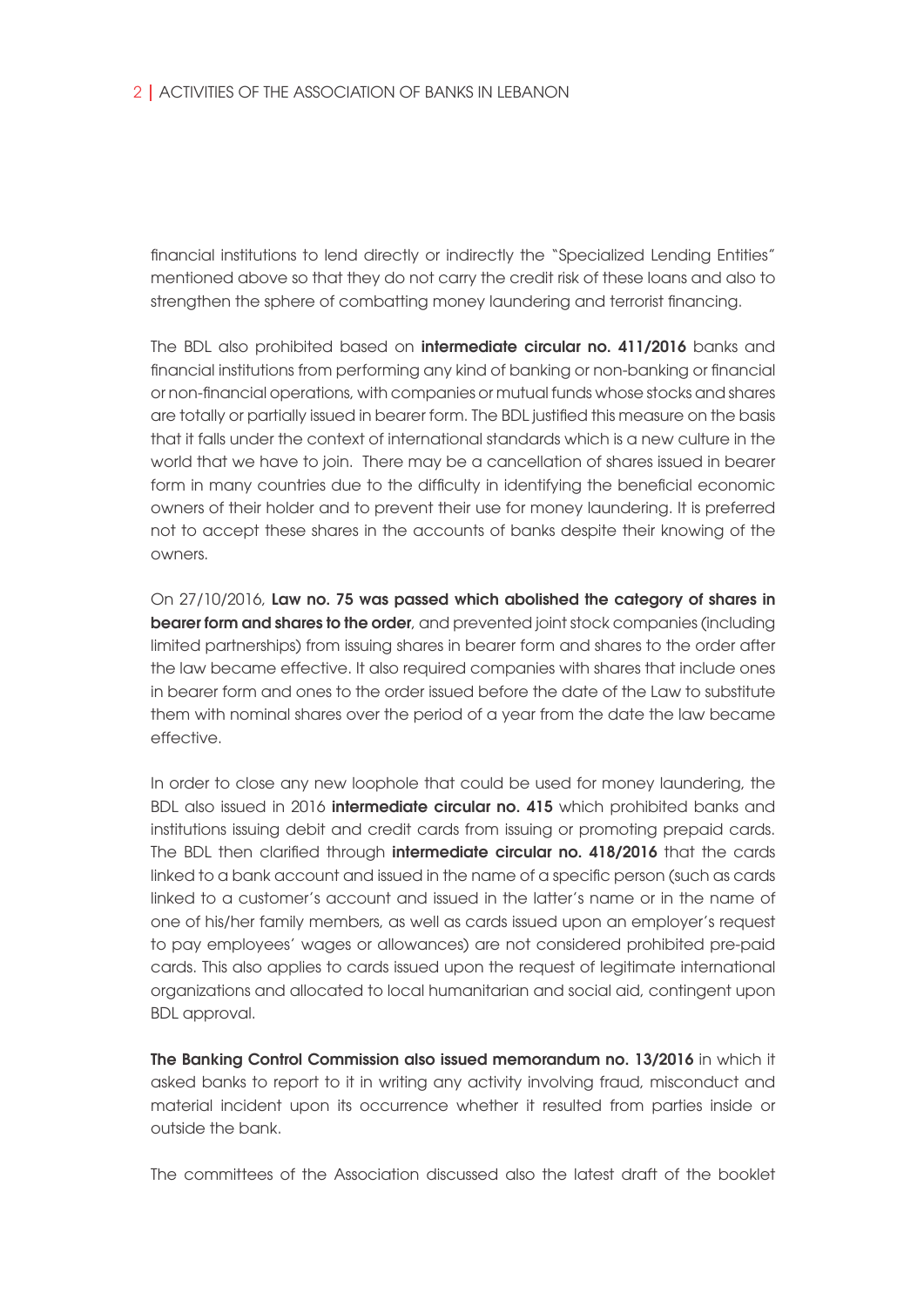financial institutions to lend directly or indirectly the "Specialized Lending Entities" mentioned above so that they do not carry the credit risk of these loans and also to strengthen the sphere of combatting money laundering and terrorist financing.

The BDL also prohibited based on intermediate circular no. 411/2016 banks and financial institutions from performing any kind of banking or non-banking or financial or non-financial operations, with companies or mutual funds whose stocks and shares are totally or partially issued in bearer form. The BDL justified this measure on the basis that it falls under the context of international standards which is a new culture in the world that we have to join. There may be a cancellation of shares issued in bearer form in many countries due to the difficulty in identifying the beneficial economic owners of their holder and to prevent their use for money laundering. It is preferred not to accept these shares in the accounts of banks despite their knowing of the owners.

On 27/10/2016, Law no. 75 was passed which abolished the category of shares in bearer form and shares to the order, and prevented joint stock companies (including limited partnerships) from issuing shares in bearer form and shares to the order after the law became effective. It also required companies with shares that include ones in bearer form and ones to the order issued before the date of the Law to substitute them with nominal shares over the period of a year from the date the law became effective.

In order to close any new loophole that could be used for money laundering, the BDL also issued in 2016 intermediate circular no. 415 which prohibited banks and institutions issuing debit and credit cards from issuing or promoting prepaid cards. The BDL then clarified through **intermediate circular no. 418/2016** that the cards linked to a bank account and issued in the name of a specific person (such as cards linked to a customer's account and issued in the latter's name or in the name of one of his/her family members, as well as cards issued upon an employer's request to pay employees' wages or allowances) are not considered prohibited pre-paid cards. This also applies to cards issued upon the request of legitimate international organizations and allocated to local humanitarian and social aid, contingent upon BDL approval.

The Banking Control Commission also issued memorandum no. 13/2016 in which it asked banks to report to it in writing any activity involving fraud, misconduct and material incident upon its occurrence whether it resulted from parties inside or outside the bank.

The committees of the Association discussed also the latest draft of the booklet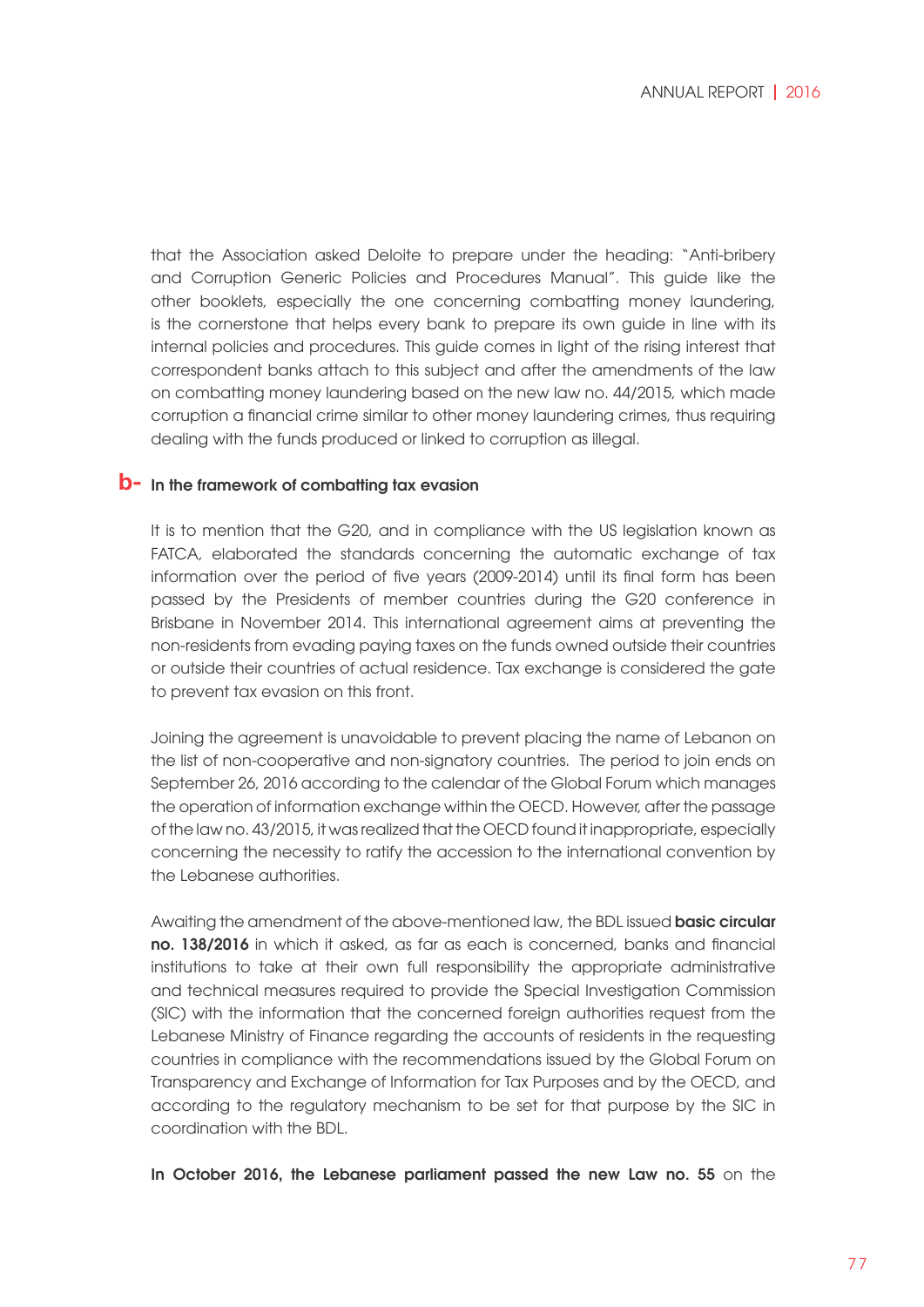that the Association asked Deloite to prepare under the heading: "Anti-bribery and Corruption Generic Policies and Procedures Manual". This guide like the other booklets, especially the one concerning combatting money laundering, is the cornerstone that helps every bank to prepare its own guide in line with its internal policies and procedures. This guide comes in light of the rising interest that correspondent banks attach to this subject and after the amendments of the law on combatting money laundering based on the new law no. 44/2015, which made corruption a financial crime similar to other money laundering crimes, thus requiring dealing with the funds produced or linked to corruption as illegal.

## **b**- In the framework of combatting tax evasion

It is to mention that the G20, and in compliance with the US legislation known as FATCA, elaborated the standards concerning the automatic exchange of tax information over the period of five years (2009-2014) until its final form has been passed by the Presidents of member countries during the G20 conference in Brisbane in November 2014. This international agreement aims at preventing the non-residents from evading paying taxes on the funds owned outside their countries or outside their countries of actual residence. Tax exchange is considered the gate to prevent tax evasion on this front.

Joining the agreement is unavoidable to prevent placing the name of Lebanon on the list of non-cooperative and non-signatory countries. The period to join ends on September 26, 2016 according to the calendar of the Global Forum which manages the operation of information exchange within the OECD. However, after the passage of the law no. 43/2015, it was realized that the OECD found it inappropriate, especially concerning the necessity to ratify the accession to the international convention by the Lebanese authorities.

Awaiting the amendment of the above-mentioned law, the BDL issued **basic circular** no. 138/2016 in which it asked, as far as each is concerned, banks and financial institutions to take at their own full responsibility the appropriate administrative and technical measures required to provide the Special Investigation Commission (SIC) with the information that the concerned foreign authorities request from the Lebanese Ministry of Finance regarding the accounts of residents in the requesting countries in compliance with the recommendations issued by the Global Forum on Transparency and Exchange of Information for Tax Purposes and by the OECD, and according to the regulatory mechanism to be set for that purpose by the SIC in coordination with the BDL.

In October 2016, the Lebanese parliament passed the new Law no. 55 on the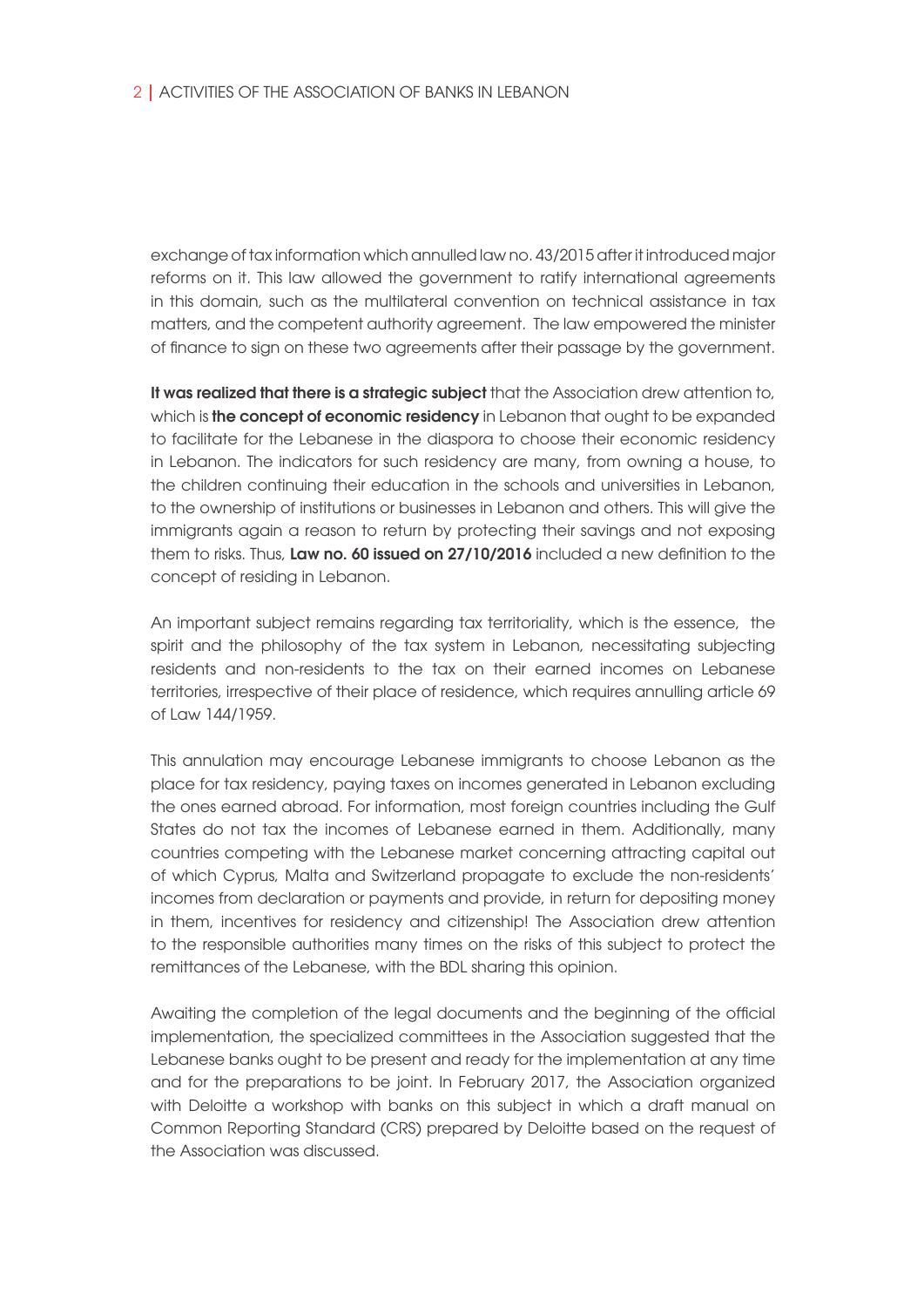exchange of tax information which annulled law no. 43/2015 after it introduced major reforms on it. This law allowed the government to ratify international agreements in this domain, such as the multilateral convention on technical assistance in tax matters, and the competent authority agreement. The law empowered the minister of finance to sign on these two agreements after their passage by the government.

It was realized that there is a strategic subject that the Association drew attention to, which is the concept of economic residency in Lebanon that ought to be expanded to facilitate for the Lebanese in the diaspora to choose their economic residency in Lebanon. The indicators for such residency are many, from owning a house, to the children continuing their education in the schools and universities in Lebanon, to the ownership of institutions or businesses in Lebanon and others. This will give the immigrants again a reason to return by protecting their savings and not exposing them to risks. Thus, Law no. 60 issued on 27/10/2016 included a new definition to the concept of residing in Lebanon.

An important subject remains regarding tax territoriality, which is the essence, the spirit and the philosophy of the tax system in Lebanon, necessitating subjecting residents and non-residents to the tax on their earned incomes on Lebanese territories, irrespective of their place of residence, which requires annulling article 69 of Law 144/1959.

This annulation may encourage Lebanese immigrants to choose Lebanon as the place for tax residency, paying taxes on incomes generated in Lebanon excluding the ones earned abroad. For information, most foreign countries including the Gulf States do not tax the incomes of Lebanese earned in them. Additionally, many countries competing with the Lebanese market concerning attracting capital out of which Cyprus, Malta and Switzerland propagate to exclude the non-residents' incomes from declaration or payments and provide, in return for depositing money in them, incentives for residency and citizenship! The Association drew attention to the responsible authorities many times on the risks of this subject to protect the remittances of the Lebanese, with the BDL sharing this opinion.

Awaiting the completion of the legal documents and the beginning of the official implementation, the specialized committees in the Association suggested that the Lebanese banks ought to be present and ready for the implementation at any time and for the preparations to be joint. In February 2017, the Association organized with Deloitte a workshop with banks on this subject in which a draft manual on Common Reporting Standard (CRS) prepared by Deloitte based on the request of the Association was discussed.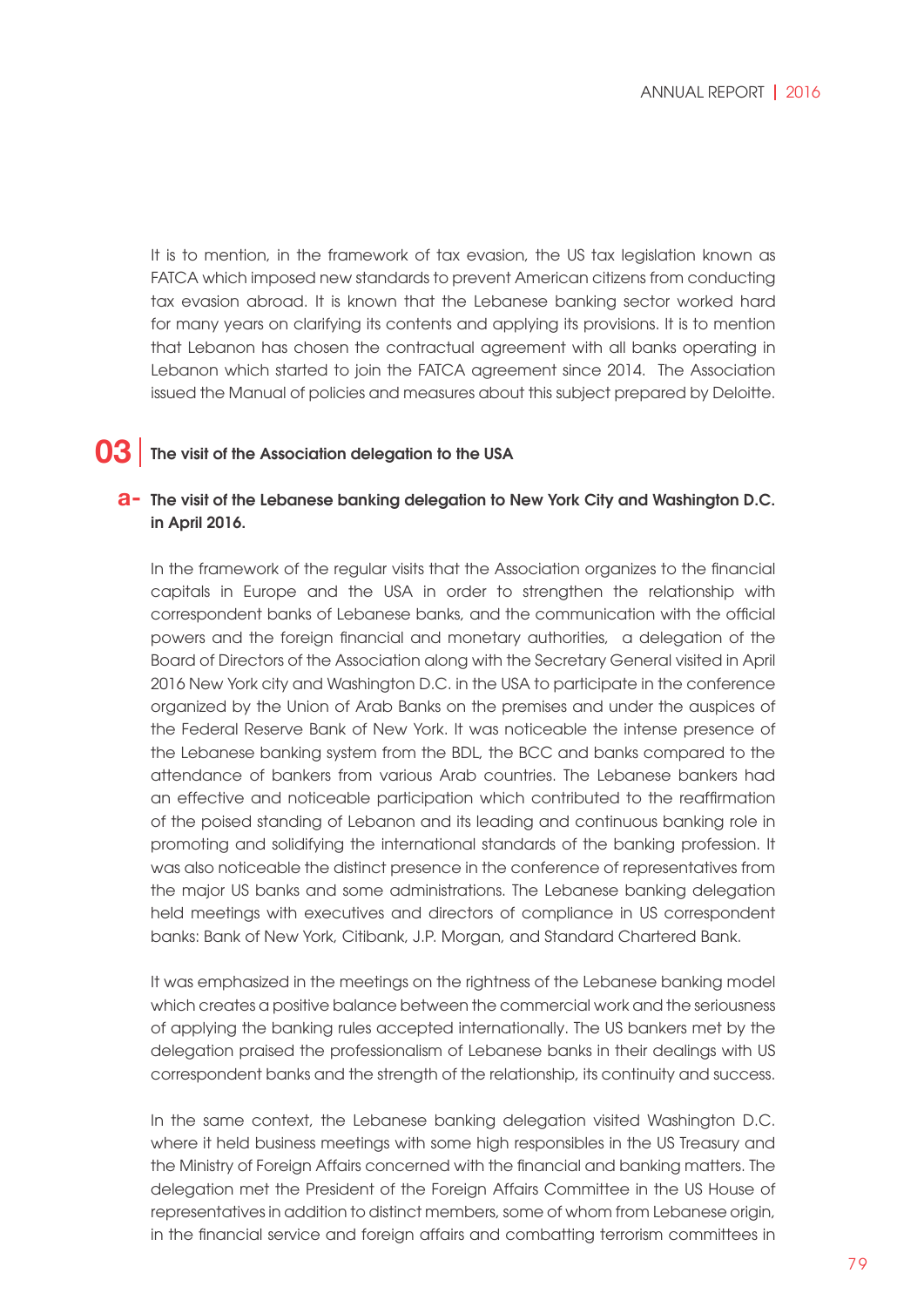It is to mention, in the framework of tax evasion, the US tax legislation known as FATCA which imposed new standards to prevent American citizens from conducting tax evasion abroad. It is known that the Lebanese banking sector worked hard for many years on clarifying its contents and applying its provisions. It is to mention that Lebanon has chosen the contractual agreement with all banks operating in Lebanon which started to join the FATCA agreement since 2014. The Association issued the Manual of policies and measures about this subject prepared by Deloitte.

#### The visit of the Association delegation to the USA **03**

### The visit of the Lebanese banking delegation to New York City and Washington D.C. **a** in April 2016.

In the framework of the regular visits that the Association organizes to the financial capitals in Europe and the USA in order to strengthen the relationship with correspondent banks of Lebanese banks, and the communication with the official powers and the foreign financial and monetary authorities, a delegation of the Board of Directors of the Association along with the Secretary General visited in April 2016 New York city and Washington D.C. in the USA to participate in the conference organized by the Union of Arab Banks on the premises and under the auspices of the Federal Reserve Bank of New York. It was noticeable the intense presence of the Lebanese banking system from the BDL, the BCC and banks compared to the attendance of bankers from various Arab countries. The Lebanese bankers had an effective and noticeable participation which contributed to the reaffirmation of the poised standing of Lebanon and its leading and continuous banking role in promoting and solidifying the international standards of the banking profession. It was also noticeable the distinct presence in the conference of representatives from the major US banks and some administrations. The Lebanese banking delegation held meetings with executives and directors of compliance in US correspondent banks: Bank of New York, Citibank, J.P. Morgan, and Standard Chartered Bank.

It was emphasized in the meetings on the rightness of the Lebanese banking model which creates a positive balance between the commercial work and the seriousness of applying the banking rules accepted internationally. The US bankers met by the delegation praised the professionalism of Lebanese banks in their dealings with US correspondent banks and the strength of the relationship, its continuity and success.

In the same context, the Lebanese banking delegation visited Washington D.C. where it held business meetings with some high responsibles in the US Treasury and the Ministry of Foreign Affairs concerned with the financial and banking matters. The delegation met the President of the Foreign Affairs Committee in the US House of representatives in addition to distinct members, some of whom from Lebanese origin, in the financial service and foreign affairs and combatting terrorism committees in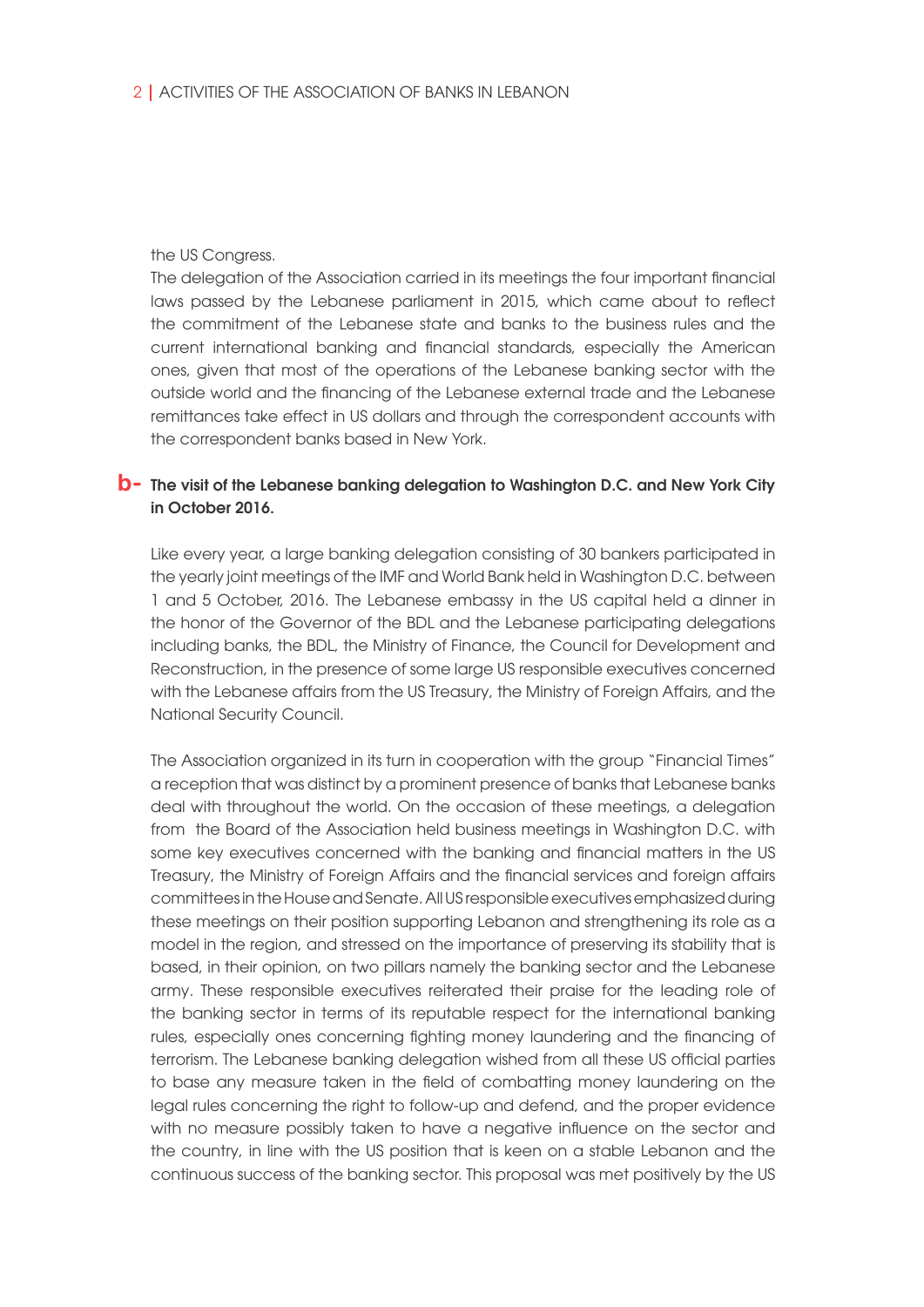### the US Congress.

The delegation of the Association carried in its meetings the four important financial laws passed by the Lebanese parliament in 2015, which came about to reflect the commitment of the Lebanese state and banks to the business rules and the current international banking and financial standards, especially the American ones, given that most of the operations of the Lebanese banking sector with the outside world and the financing of the Lebanese external trade and the Lebanese remittances take effect in US dollars and through the correspondent accounts with the correspondent banks based in New York.

### **b**- The visit of the Lebanese banking delegation to Washington D.C. and New York City in October 2016.

Like every year, a large banking delegation consisting of 30 bankers participated in the yearly joint meetings of the IMF and World Bank held in Washington D.C. between 1 and 5 October, 2016. The Lebanese embassy in the US capital held a dinner in the honor of the Governor of the BDL and the Lebanese participating delegations including banks, the BDL, the Ministry of Finance, the Council for Development and Reconstruction, in the presence of some large US responsible executives concerned with the Lebanese affairs from the US Treasury, the Ministry of Foreign Affairs, and the National Security Council.

The Association organized in its turn in cooperation with the group "Financial Times" a reception that was distinct by a prominent presence of banks that Lebanese banks deal with throughout the world. On the occasion of these meetings, a delegation from the Board of the Association held business meetings in Washington D.C. with some key executives concerned with the banking and financial matters in the US Treasury, the Ministry of Foreign Affairs and the financial services and foreign affairs committees in the House and Senate. All US responsible executives emphasized during these meetings on their position supporting Lebanon and strengthening its role as a model in the region, and stressed on the importance of preserving its stability that is based, in their opinion, on two pillars namely the banking sector and the Lebanese army. These responsible executives reiterated their praise for the leading role of the banking sector in terms of its reputable respect for the international banking rules, especially ones concerning fighting money laundering and the financing of terrorism. The Lebanese banking delegation wished from all these US official parties to base any measure taken in the field of combatting money laundering on the legal rules concerning the right to follow-up and defend, and the proper evidence with no measure possibly taken to have a negative influence on the sector and the country, in line with the US position that is keen on a stable Lebanon and the continuous success of the banking sector. This proposal was met positively by the US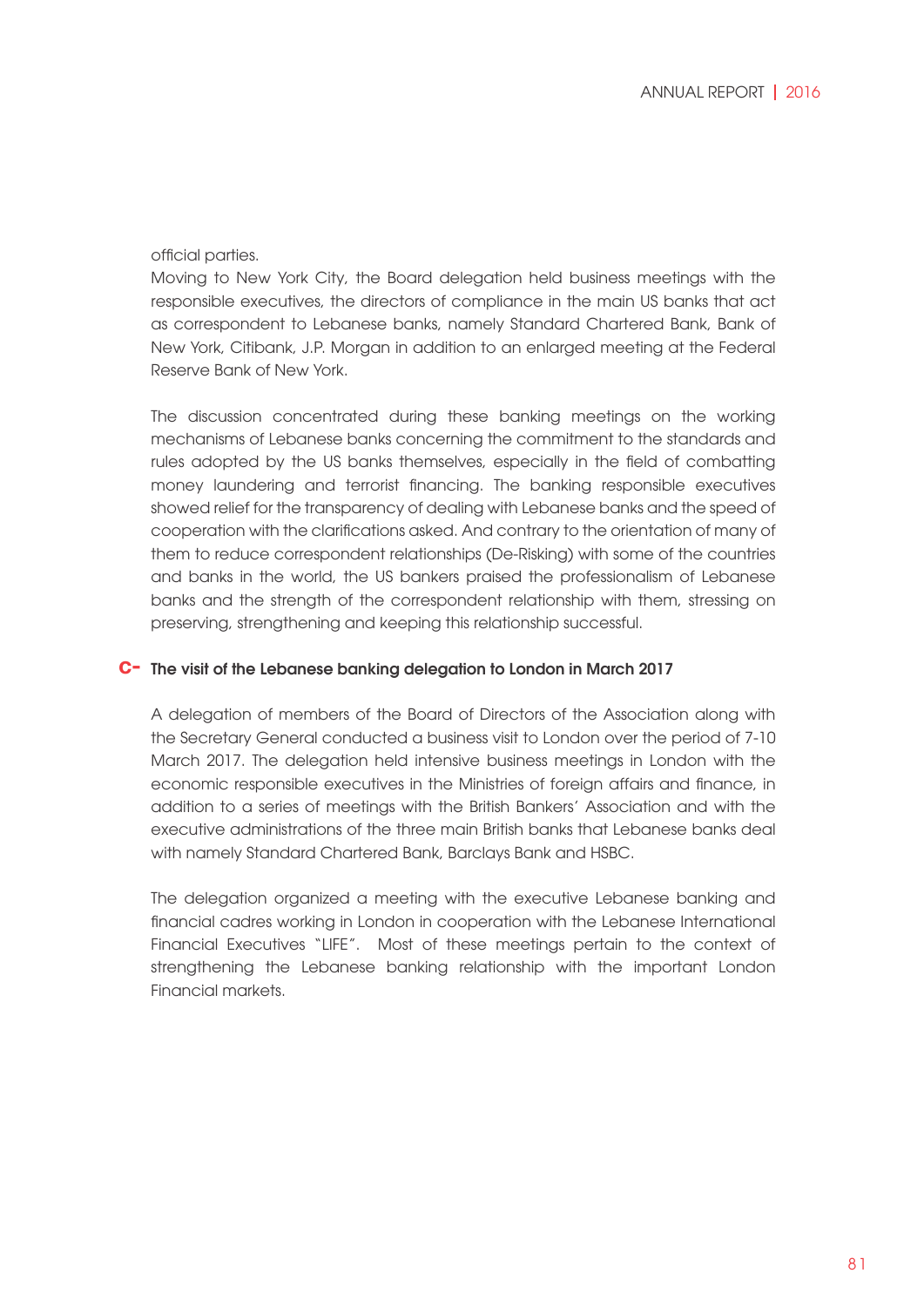### official parties.

Moving to New York City, the Board delegation held business meetings with the responsible executives, the directors of compliance in the main US banks that act as correspondent to Lebanese banks, namely Standard Chartered Bank, Bank of New York, Citibank, J.P. Morgan in addition to an enlarged meeting at the Federal Reserve Bank of New York.

The discussion concentrated during these banking meetings on the working mechanisms of Lebanese banks concerning the commitment to the standards and rules adopted by the US banks themselves, especially in the field of combatting money laundering and terrorist financing. The banking responsible executives showed relief for the transparency of dealing with Lebanese banks and the speed of cooperation with the clarifications asked. And contrary to the orientation of many of them to reduce correspondent relationships (De-Risking) with some of the countries and banks in the world, the US bankers praised the professionalism of Lebanese banks and the strength of the correspondent relationship with them, stressing on preserving, strengthening and keeping this relationship successful.

## The visit of the Lebanese banking delegation to London in March 2017 **c-**

A delegation of members of the Board of Directors of the Association along with the Secretary General conducted a business visit to London over the period of 7-10 March 2017. The delegation held intensive business meetings in London with the economic responsible executives in the Ministries of foreign affairs and finance, in addition to a series of meetings with the British Bankers' Association and with the executive administrations of the three main British banks that Lebanese banks deal with namely Standard Chartered Bank, Barclays Bank and HSBC.

The delegation organized a meeting with the executive Lebanese banking and financial cadres working in London in cooperation with the Lebanese International Financial Executives "LIFE". Most of these meetings pertain to the context of strengthening the Lebanese banking relationship with the important London Financial markets.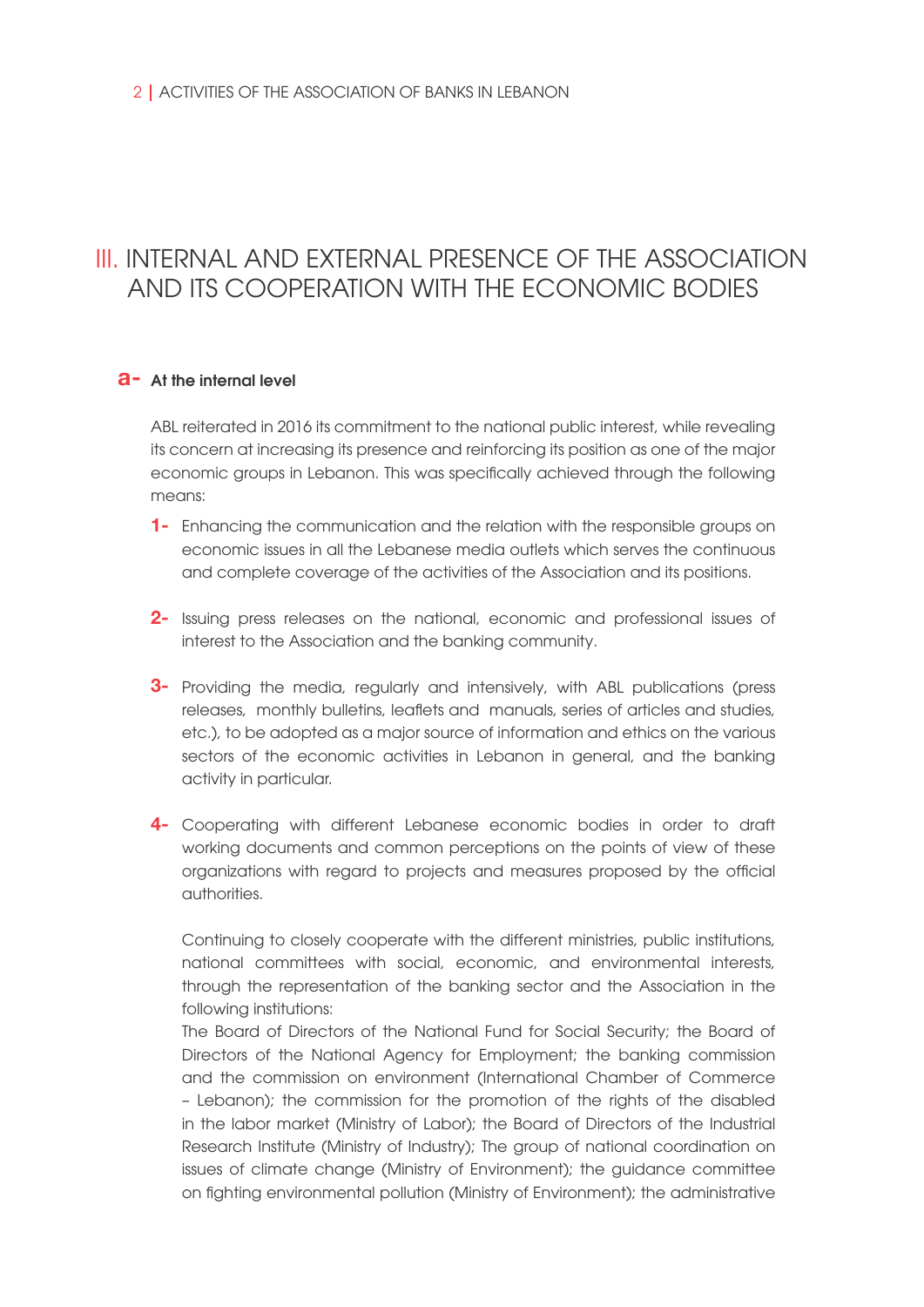## III. INTERNAL AND EXTERNAL PRESENCE OF THE ASSOCIATION AND ITS COOPERATION WITH THE ECONOMIC BODIES

## **a**- At the internal level

ABL reiterated in 2016 its commitment to the national public interest, while revealing its concern at increasing its presence and reinforcing its position as one of the major economic groups in Lebanon. This was specifically achieved through the following means:

- Enhancing the communication and the relation with the responsible groups on **1**  economic issues in all the Lebanese media outlets which serves the continuous and complete coverage of the activities of the Association and its positions.
- Issuing press releases on the national, economic and professional issues of **2**  interest to the Association and the banking community.
- Providing the media, regularly and intensively, with ABL publications (press **3**  releases, monthly bulletins, leaflets and manuals, series of articles and studies, etc.), to be adopted as a major source of information and ethics on the various sectors of the economic activities in Lebanon in general, and the banking activity in particular.
- Cooperating with different Lebanese economic bodies in order to draft **4** working documents and common perceptions on the points of view of these organizations with regard to projects and measures proposed by the official authorities.

Continuing to closely cooperate with the different ministries, public institutions, national committees with social, economic, and environmental interests, through the representation of the banking sector and the Association in the following institutions:

The Board of Directors of the National Fund for Social Security; the Board of Directors of the National Agency for Employment; the banking commission and the commission on environment (International Chamber of Commerce – Lebanon); the commission for the promotion of the rights of the disabled in the labor market (Ministry of Labor); the Board of Directors of the Industrial Research Institute (Ministry of Industry); The group of national coordination on issues of climate change (Ministry of Environment); the guidance committee on fighting environmental pollution (Ministry of Environment); the administrative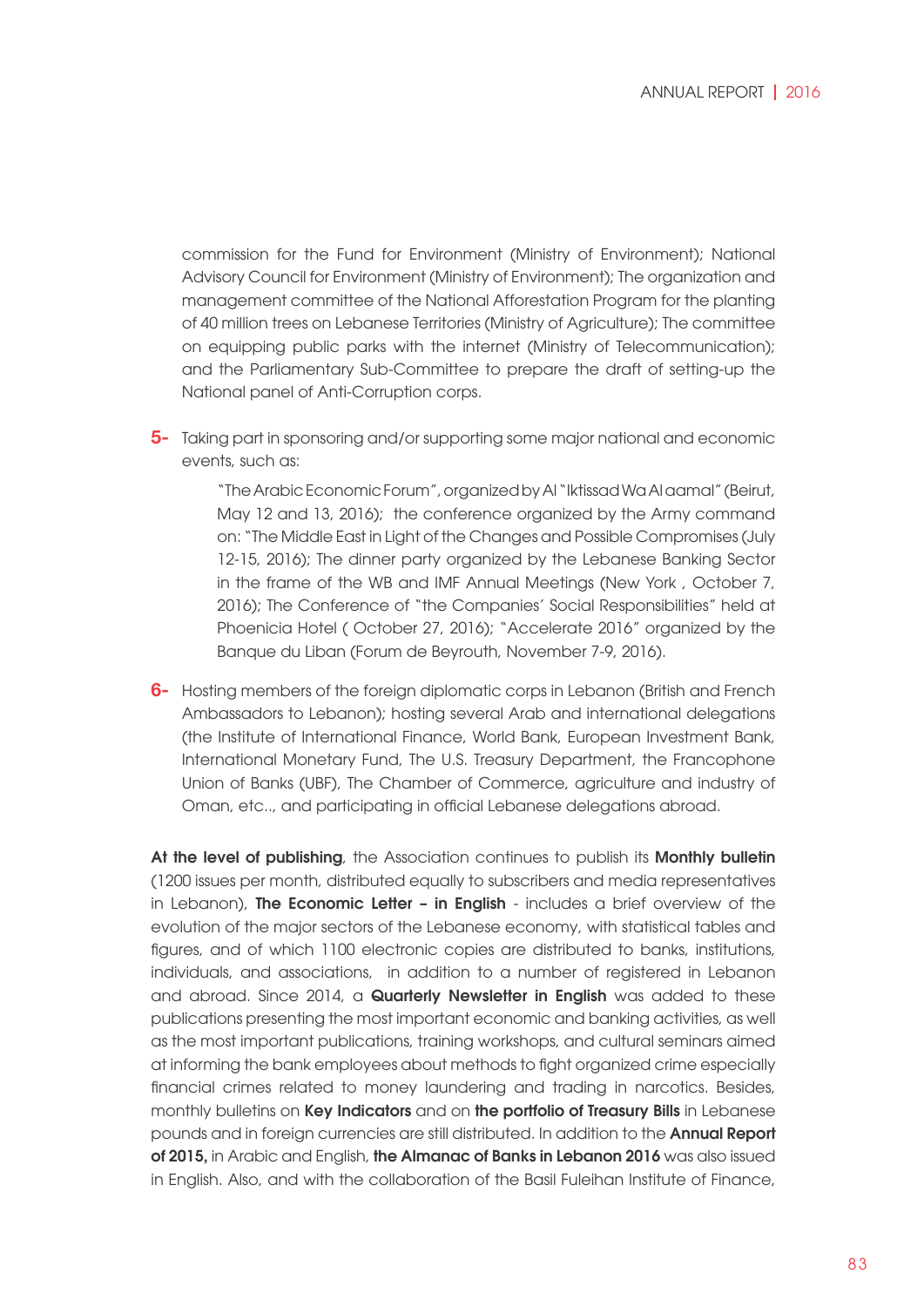commission for the Fund for Environment (Ministry of Environment); National Advisory Council for Environment (Ministry of Environment); The organization and management committee of the National Afforestation Program for the planting of 40 million trees on Lebanese Territories (Ministry of Agriculture); The committee on equipping public parks with the internet (Ministry of Telecommunication); and the Parliamentary Sub-Committee to prepare the draft of setting-up the National panel of Anti-Corruption corps.

Taking part in sponsoring and/or supporting some major national and economic **5**  events, such as:

> "The Arabic Economic Forum", organized by Al "Iktissad Wa Al aamal" (Beirut, May 12 and 13, 2016); the conference organized by the Army command on: "The Middle East in Light of the Changes and Possible Compromises (July 12-15, 2016); The dinner party organized by the Lebanese Banking Sector in the frame of the WB and IMF Annual Meetings (New York , October 7, 2016); The Conference of "the Companies' Social Responsibilities" held at Phoenicia Hotel ( October 27, 2016); "Accelerate 2016" organized by the Banque du Liban (Forum de Beyrouth, November 7-9, 2016).

Hosting members of the foreign diplomatic corps in Lebanon (British and French **6-**  Ambassadors to Lebanon); hosting several Arab and international delegations (the Institute of International Finance, World Bank, European Investment Bank, International Monetary Fund, The U.S. Treasury Department, the Francophone Union of Banks (UBF), The Chamber of Commerce, agriculture and industry of Oman, etc.., and participating in official Lebanese delegations abroad.

At the level of publishing, the Association continues to publish its Monthly bulletin (1200 issues per month, distributed equally to subscribers and media representatives in Lebanon), The Economic Letter - in English - includes a brief overview of the evolution of the major sectors of the Lebanese economy, with statistical tables and figures, and of which 1100 electronic copies are distributed to banks, institutions, individuals, and associations, in addition to a number of registered in Lebanon and abroad. Since 2014, a **Quarterly Newsletter in Enalish** was added to these publications presenting the most important economic and banking activities, as well as the most important publications, training workshops, and cultural seminars aimed at informing the bank employees about methods to fight organized crime especially financial crimes related to money laundering and trading in narcotics. Besides, monthly bulletins on Key Indicators and on the portfolio of Treasury Bills in Lebanese pounds and in foreign currencies are still distributed. In addition to the Annual Report of 2015, in Arabic and English, the Almanac of Banks in Lebanon 2016 was also issued in English. Also, and with the collaboration of the Basil Fuleihan Institute of Finance,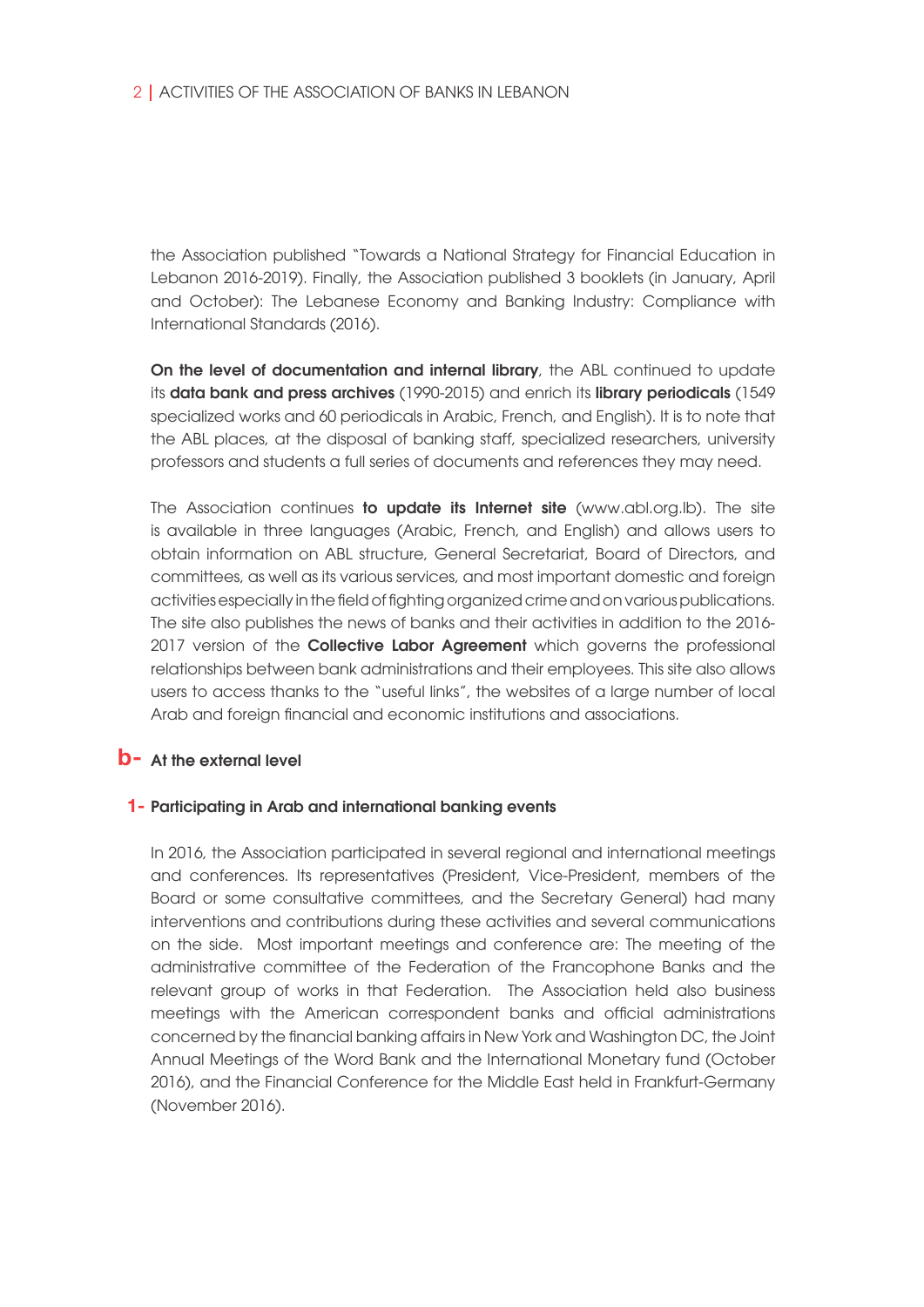the Association published "Towards a National Strategy for Financial Education in Lebanon 2016-2019). Finally, the Association published 3 booklets (in January, April and October): The Lebanese Economy and Banking Industry: Compliance with International Standards (2016).

On the level of documentation and internal library, the ABL continued to update its data bank and press archives (1990-2015) and enrich its library periodicals (1549 specialized works and 60 periodicals in Arabic, French, and English). It is to note that the ABL places, at the disposal of banking staff, specialized researchers, university professors and students a full series of documents and references they may need.

The Association continues to update its Internet site (www.abl.org.Ib). The site is available in three languages (Arabic, French, and English) and allows users to obtain information on ABL structure, General Secretariat, Board of Directors, and committees, as well as its various services, and most important domestic and foreign activities especially in the field of fighting organized crime and on various publications. The site also publishes the news of banks and their activities in addition to the 2016- 2017 version of the **Collective Labor Agreement** which governs the professional relationships between bank administrations and their employees. This site also allows users to access thanks to the "useful links", the websites of a large number of local Arab and foreign financial and economic institutions and associations.

## **b**- At the external level

### 1- Participating in Arab and international banking events

In 2016, the Association participated in several regional and international meetings and conferences. Its representatives (President, Vice-President, members of the Board or some consultative committees, and the Secretary General) had many interventions and contributions during these activities and several communications on the side. Most important meetings and conference are: The meeting of the administrative committee of the Federation of the Francophone Banks and the relevant group of works in that Federation. The Association held also business meetings with the American correspondent banks and official administrations concerned by the financial banking affairs in New York and Washington DC, the Joint Annual Meetings of the Word Bank and the International Monetary fund (October 2016), and the Financial Conference for the Middle East held in Frankfurt-Germany (November 2016).